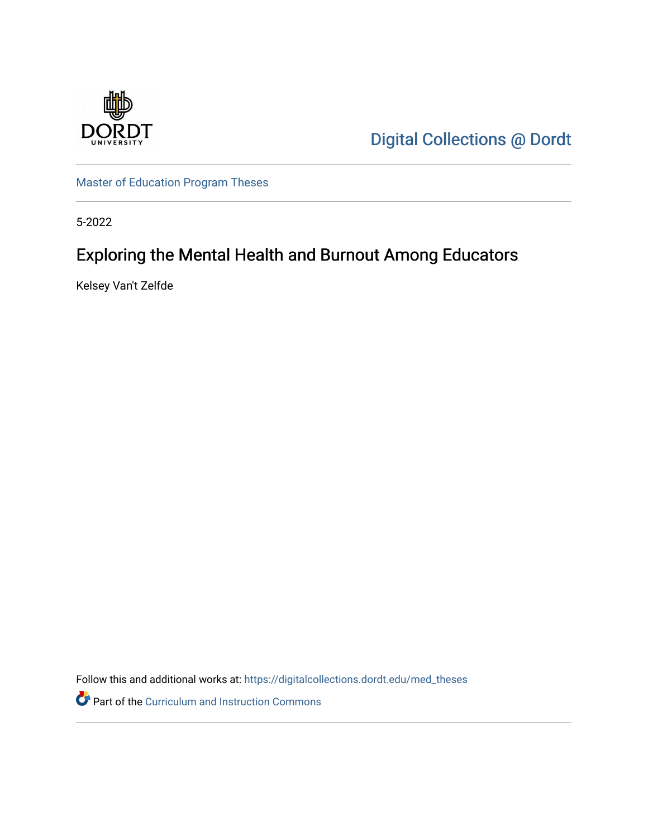

[Digital Collections @ Dordt](https://digitalcollections.dordt.edu/) 

[Master of Education Program Theses](https://digitalcollections.dordt.edu/med_theses) 

5-2022

# Exploring the Mental Health and Burnout Among Educators

Kelsey Van't Zelfde

Follow this and additional works at: [https://digitalcollections.dordt.edu/med\\_theses](https://digitalcollections.dordt.edu/med_theses?utm_source=digitalcollections.dordt.edu%2Fmed_theses%2F158&utm_medium=PDF&utm_campaign=PDFCoverPages)

Part of the [Curriculum and Instruction Commons](http://network.bepress.com/hgg/discipline/786?utm_source=digitalcollections.dordt.edu%2Fmed_theses%2F158&utm_medium=PDF&utm_campaign=PDFCoverPages)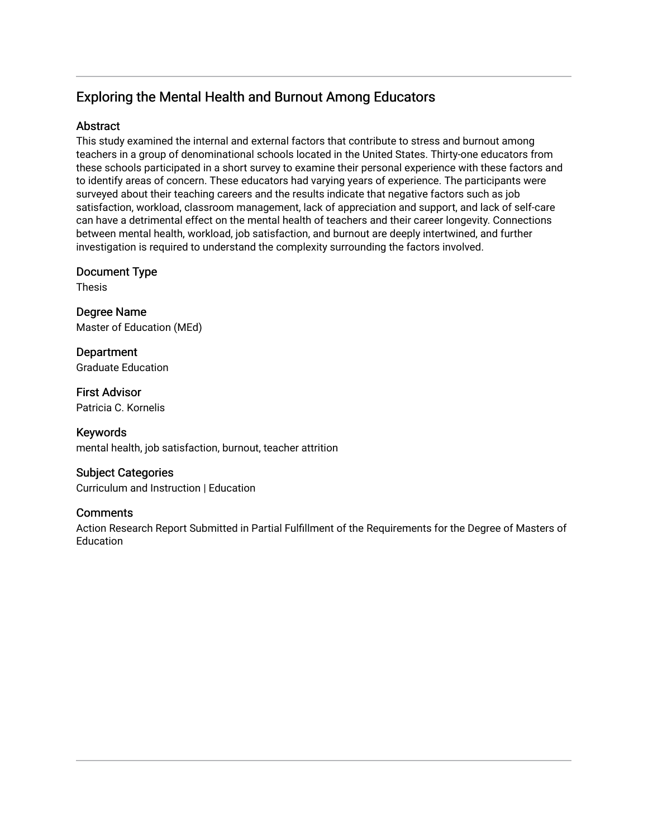# Exploring the Mental Health and Burnout Among Educators

# **Abstract**

This study examined the internal and external factors that contribute to stress and burnout among teachers in a group of denominational schools located in the United States. Thirty-one educators from these schools participated in a short survey to examine their personal experience with these factors and to identify areas of concern. These educators had varying years of experience. The participants were surveyed about their teaching careers and the results indicate that negative factors such as job satisfaction, workload, classroom management, lack of appreciation and support, and lack of self-care can have a detrimental effect on the mental health of teachers and their career longevity. Connections between mental health, workload, job satisfaction, and burnout are deeply intertwined, and further investigation is required to understand the complexity surrounding the factors involved.

Document Type

Thesis

Degree Name Master of Education (MEd)

**Department** Graduate Education

First Advisor Patricia C. Kornelis

Keywords mental health, job satisfaction, burnout, teacher attrition

# Subject Categories

Curriculum and Instruction | Education

## **Comments**

Action Research Report Submitted in Partial Fulfillment of the Requirements for the Degree of Masters of Education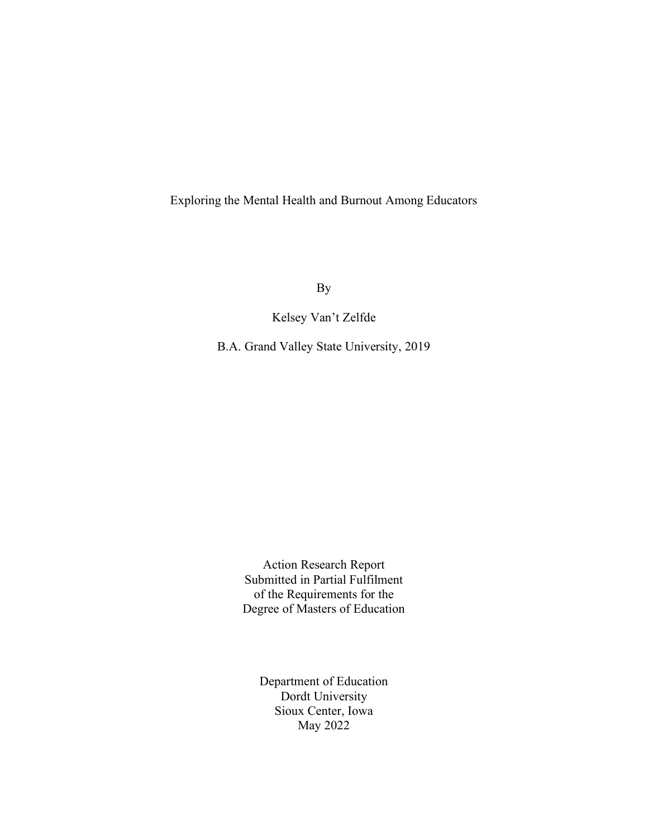Exploring the Mental Health and Burnout Among Educators

By

Kelsey Van't Zelfde

B.A. Grand Valley State University, 2019

Action Research Report Submitted in Partial Fulfilment of the Requirements for the Degree of Masters of Education

> Department of Education Dordt University Sioux Center, Iowa May 2022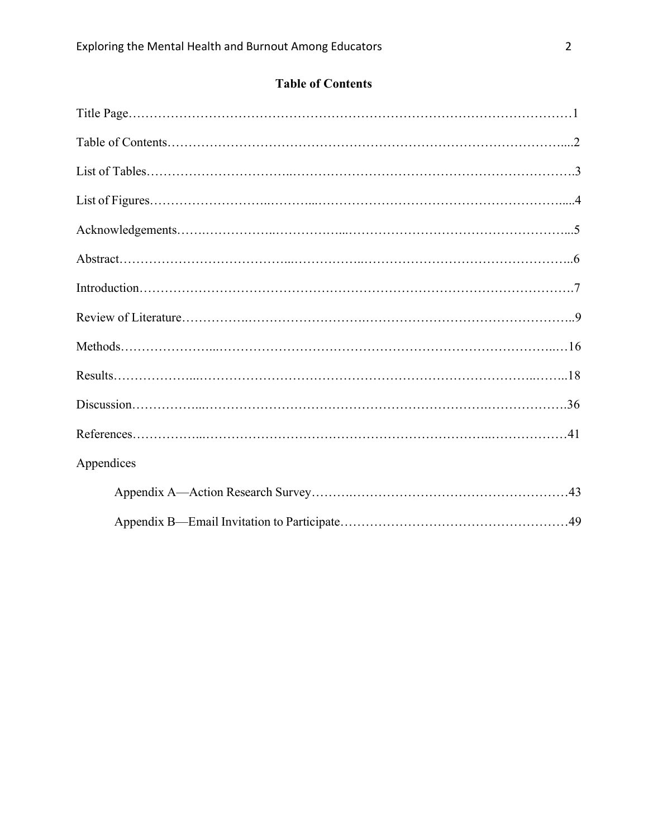|  |  |  | <b>Table of Contents</b> |  |
|--|--|--|--------------------------|--|
|--|--|--|--------------------------|--|

| Appendices |  |
|------------|--|
|            |  |
|            |  |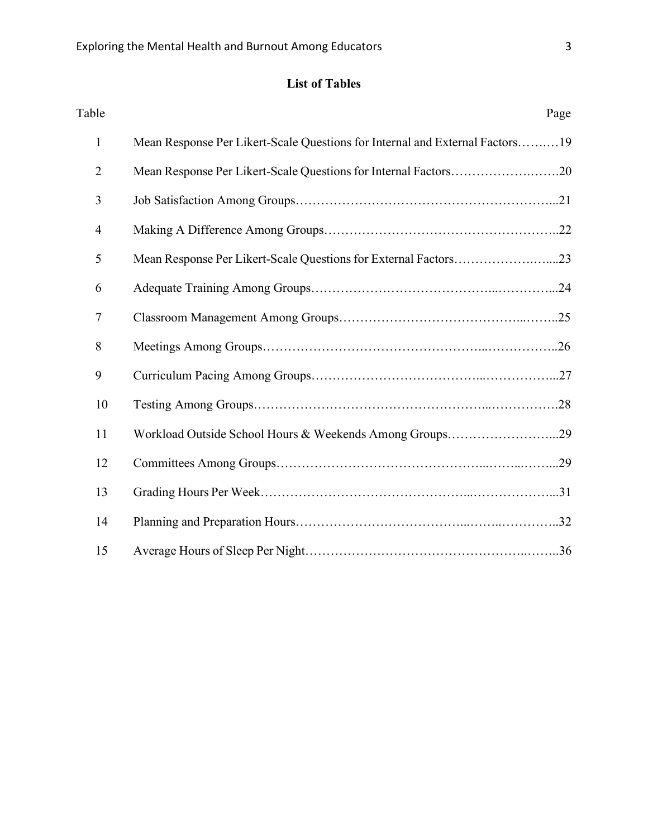# **List of Tables**

| Table                                                                             | Page |
|-----------------------------------------------------------------------------------|------|
| Mean Response Per Likert-Scale Questions for Internal and External Factors19<br>1 |      |
| $\overline{2}$<br>Mean Response Per Likert-Scale Questions for Internal Factors20 |      |
| 3                                                                                 |      |
| $\overline{4}$                                                                    |      |
| 5<br>Mean Response Per Likert-Scale Questions for External Factors23              |      |
| 6                                                                                 |      |
| $\overline{7}$                                                                    |      |
| 8                                                                                 |      |
| 9                                                                                 |      |
| 10                                                                                |      |
| 11<br>Workload Outside School Hours & Weekends Among Groups29                     |      |
| 12                                                                                |      |
| 13                                                                                |      |
| 14                                                                                |      |
| 15                                                                                |      |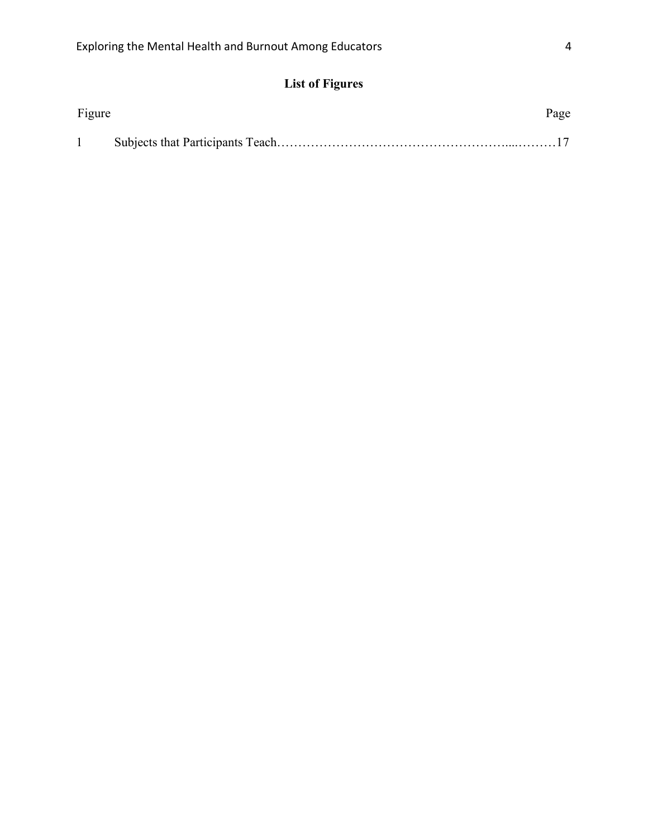# **List of Figures**

| Figure | Page |
|--------|------|
|        |      |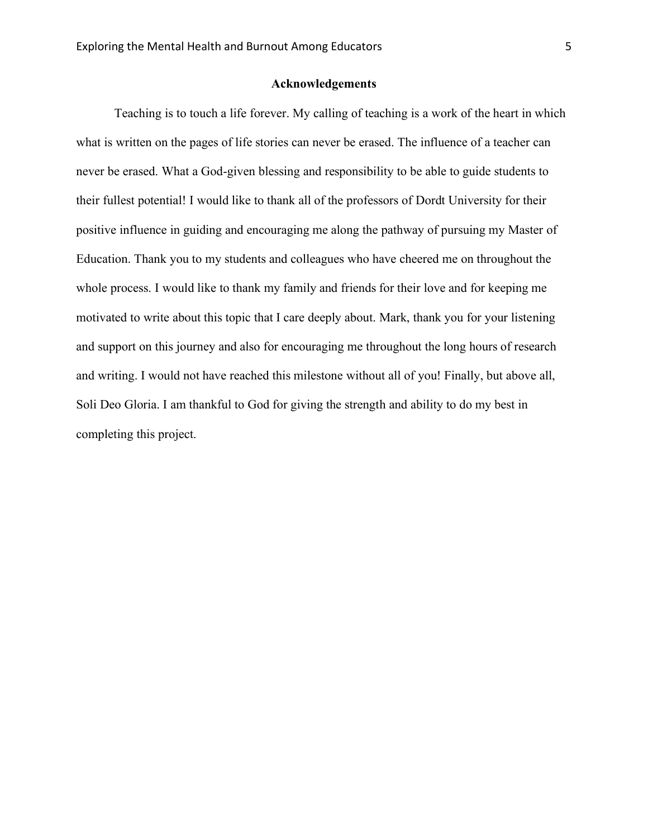#### **Acknowledgements**

Teaching is to touch a life forever. My calling of teaching is a work of the heart in which what is written on the pages of life stories can never be erased. The influence of a teacher can never be erased. What a God-given blessing and responsibility to be able to guide students to their fullest potential! I would like to thank all of the professors of Dordt University for their positive influence in guiding and encouraging me along the pathway of pursuing my Master of Education. Thank you to my students and colleagues who have cheered me on throughout the whole process. I would like to thank my family and friends for their love and for keeping me motivated to write about this topic that I care deeply about. Mark, thank you for your listening and support on this journey and also for encouraging me throughout the long hours of research and writing. I would not have reached this milestone without all of you! Finally, but above all, Soli Deo Gloria. I am thankful to God for giving the strength and ability to do my best in completing this project.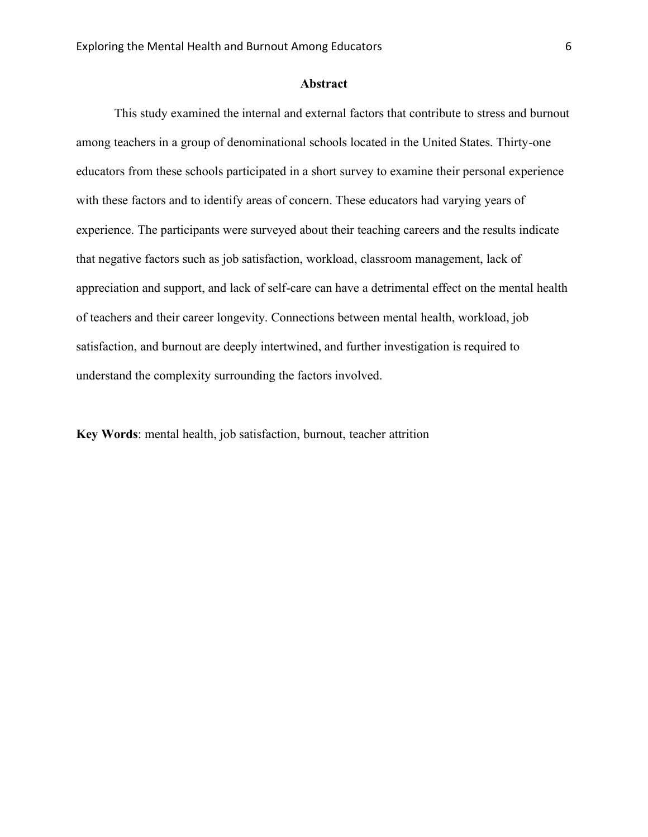#### **Abstract**

This study examined the internal and external factors that contribute to stress and burnout among teachers in a group of denominational schools located in the United States. Thirty-one educators from these schools participated in a short survey to examine their personal experience with these factors and to identify areas of concern. These educators had varying years of experience. The participants were surveyed about their teaching careers and the results indicate that negative factors such as job satisfaction, workload, classroom management, lack of appreciation and support, and lack of self-care can have a detrimental effect on the mental health of teachers and their career longevity. Connections between mental health, workload, job satisfaction, and burnout are deeply intertwined, and further investigation is required to understand the complexity surrounding the factors involved.

**Key Words**: mental health, job satisfaction, burnout, teacher attrition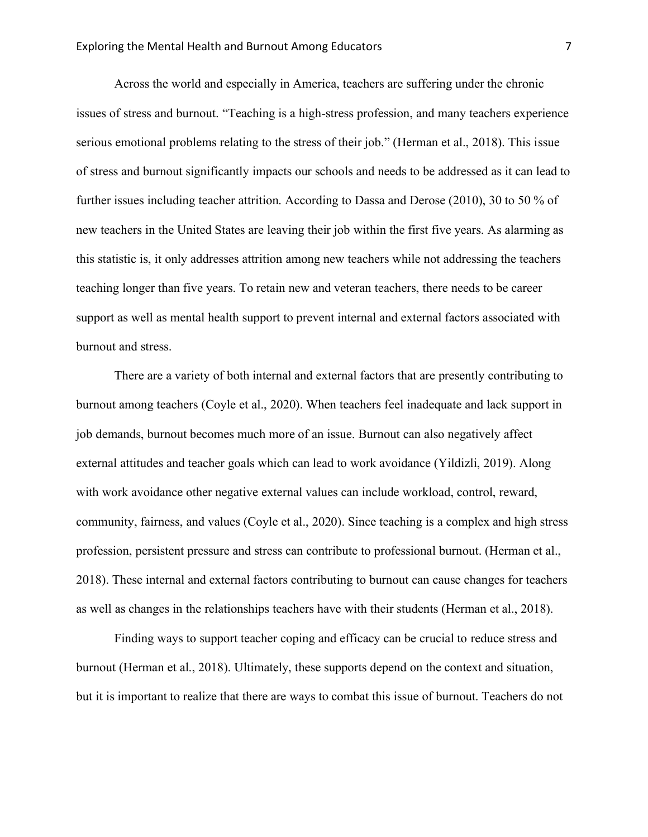Across the world and especially in America, teachers are suffering under the chronic issues of stress and burnout. "Teaching is a high-stress profession, and many teachers experience serious emotional problems relating to the stress of their job." (Herman et al., 2018). This issue of stress and burnout significantly impacts our schools and needs to be addressed as it can lead to further issues including teacher attrition. According to Dassa and Derose (2010), 30 to 50 % of new teachers in the United States are leaving their job within the first five years. As alarming as this statistic is, it only addresses attrition among new teachers while not addressing the teachers teaching longer than five years. To retain new and veteran teachers, there needs to be career support as well as mental health support to prevent internal and external factors associated with burnout and stress.

There are a variety of both internal and external factors that are presently contributing to burnout among teachers (Coyle et al., 2020). When teachers feel inadequate and lack support in job demands, burnout becomes much more of an issue. Burnout can also negatively affect external attitudes and teacher goals which can lead to work avoidance (Yildizli, 2019). Along with work avoidance other negative external values can include workload, control, reward, community, fairness, and values (Coyle et al., 2020). Since teaching is a complex and high stress profession, persistent pressure and stress can contribute to professional burnout. (Herman et al., 2018). These internal and external factors contributing to burnout can cause changes for teachers as well as changes in the relationships teachers have with their students (Herman et al., 2018).

Finding ways to support teacher coping and efficacy can be crucial to reduce stress and burnout (Herman et al., 2018). Ultimately, these supports depend on the context and situation, but it is important to realize that there are ways to combat this issue of burnout. Teachers do not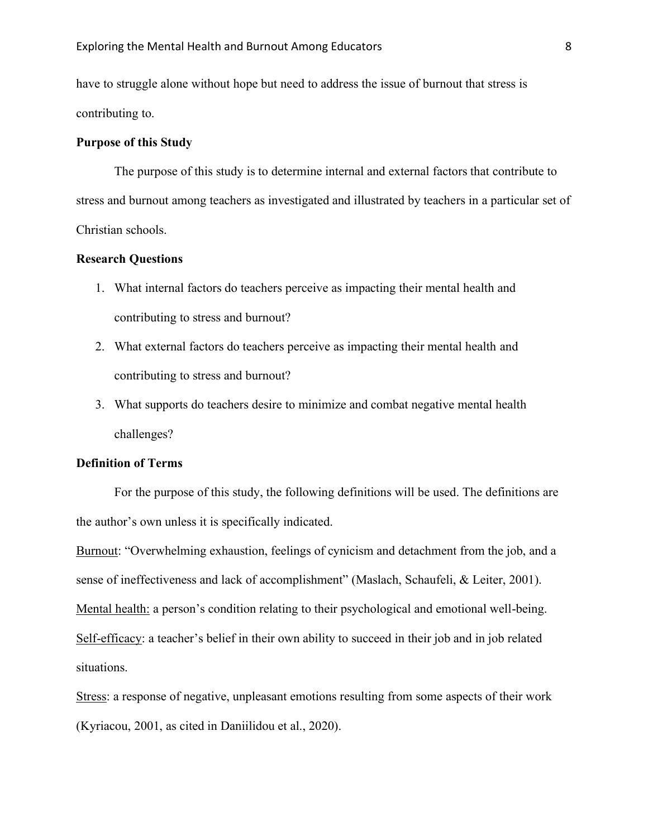have to struggle alone without hope but need to address the issue of burnout that stress is contributing to.

#### **Purpose of this Study**

The purpose of this study is to determine internal and external factors that contribute to stress and burnout among teachers as investigated and illustrated by teachers in a particular set of Christian schools.

#### **Research Questions**

- 1. What internal factors do teachers perceive as impacting their mental health and contributing to stress and burnout?
- 2. What external factors do teachers perceive as impacting their mental health and contributing to stress and burnout?
- 3. What supports do teachers desire to minimize and combat negative mental health challenges?

#### **Definition of Terms**

For the purpose of this study, the following definitions will be used. The definitions are the author's own unless it is specifically indicated.

Burnout: "Overwhelming exhaustion, feelings of cynicism and detachment from the job, and a sense of ineffectiveness and lack of accomplishment" (Maslach, Schaufeli, & Leiter, 2001). Mental health: a person's condition relating to their psychological and emotional well-being. Self-efficacy: a teacher's belief in their own ability to succeed in their job and in job related situations.

Stress: a response of negative, unpleasant emotions resulting from some aspects of their work (Kyriacou, 2001, as cited in Daniilidou et al., 2020).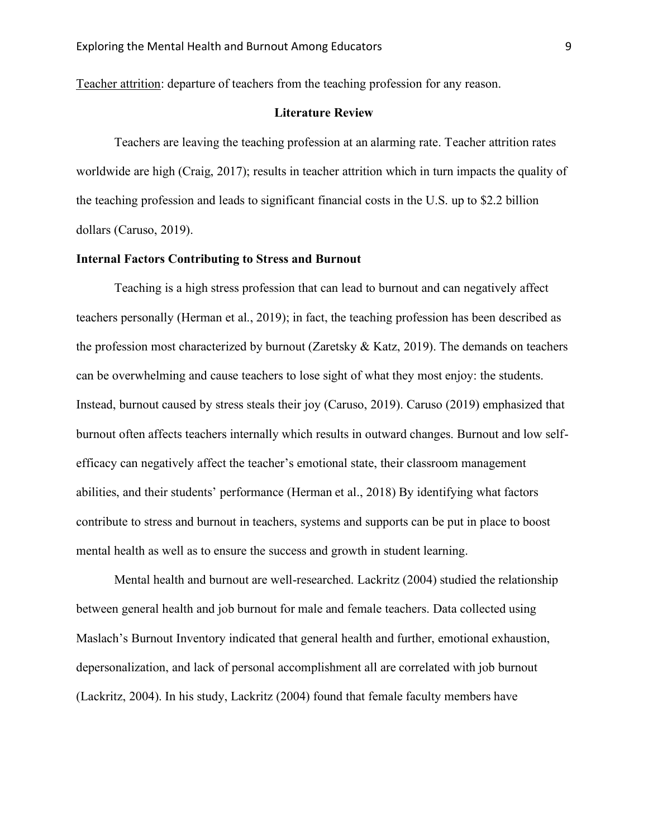Teacher attrition: departure of teachers from the teaching profession for any reason.

#### **Literature Review**

Teachers are leaving the teaching profession at an alarming rate. Teacher attrition rates worldwide are high (Craig, 2017); results in teacher attrition which in turn impacts the quality of the teaching profession and leads to significant financial costs in the U.S. up to \$2.2 billion dollars (Caruso, 2019).

#### **Internal Factors Contributing to Stress and Burnout**

Teaching is a high stress profession that can lead to burnout and can negatively affect teachers personally (Herman et al., 2019); in fact, the teaching profession has been described as the profession most characterized by burnout (Zaretsky & Katz, 2019). The demands on teachers can be overwhelming and cause teachers to lose sight of what they most enjoy: the students. Instead, burnout caused by stress steals their joy (Caruso, 2019). Caruso (2019) emphasized that burnout often affects teachers internally which results in outward changes. Burnout and low selfefficacy can negatively affect the teacher's emotional state, their classroom management abilities, and their students' performance (Herman et al., 2018) By identifying what factors contribute to stress and burnout in teachers, systems and supports can be put in place to boost mental health as well as to ensure the success and growth in student learning.

Mental health and burnout are well-researched. Lackritz (2004) studied the relationship between general health and job burnout for male and female teachers. Data collected using Maslach's Burnout Inventory indicated that general health and further, emotional exhaustion, depersonalization, and lack of personal accomplishment all are correlated with job burnout (Lackritz, 2004). In his study, Lackritz (2004) found that female faculty members have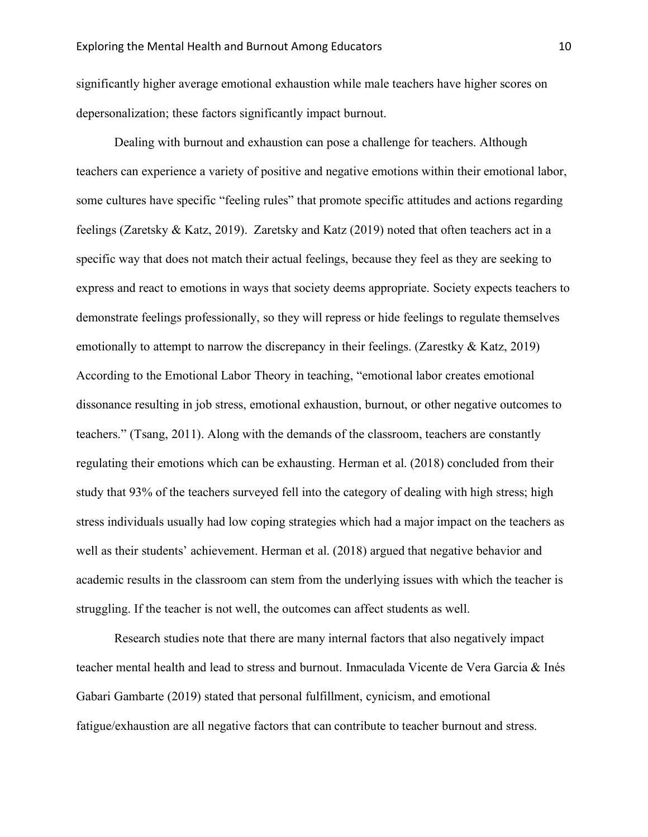significantly higher average emotional exhaustion while male teachers have higher scores on depersonalization; these factors significantly impact burnout.

Dealing with burnout and exhaustion can pose a challenge for teachers. Although teachers can experience a variety of positive and negative emotions within their emotional labor, some cultures have specific "feeling rules" that promote specific attitudes and actions regarding feelings (Zaretsky & Katz, 2019). Zaretsky and Katz (2019) noted that often teachers act in a specific way that does not match their actual feelings, because they feel as they are seeking to express and react to emotions in ways that society deems appropriate. Society expects teachers to demonstrate feelings professionally, so they will repress or hide feelings to regulate themselves emotionally to attempt to narrow the discrepancy in their feelings. (Zarestky & Katz, 2019) According to the Emotional Labor Theory in teaching, "emotional labor creates emotional dissonance resulting in job stress, emotional exhaustion, burnout, or other negative outcomes to teachers." (Tsang, 2011). Along with the demands of the classroom, teachers are constantly regulating their emotions which can be exhausting. Herman et al. (2018) concluded from their study that 93% of the teachers surveyed fell into the category of dealing with high stress; high stress individuals usually had low coping strategies which had a major impact on the teachers as well as their students' achievement. Herman et al. (2018) argued that negative behavior and academic results in the classroom can stem from the underlying issues with which the teacher is struggling. If the teacher is not well, the outcomes can affect students as well.

Research studies note that there are many internal factors that also negatively impact teacher mental health and lead to stress and burnout. Inmaculada Vicente de Vera Garcia & Inés Gabari Gambarte (2019) stated that personal fulfillment, cynicism, and emotional fatigue/exhaustion are all negative factors that can contribute to teacher burnout and stress.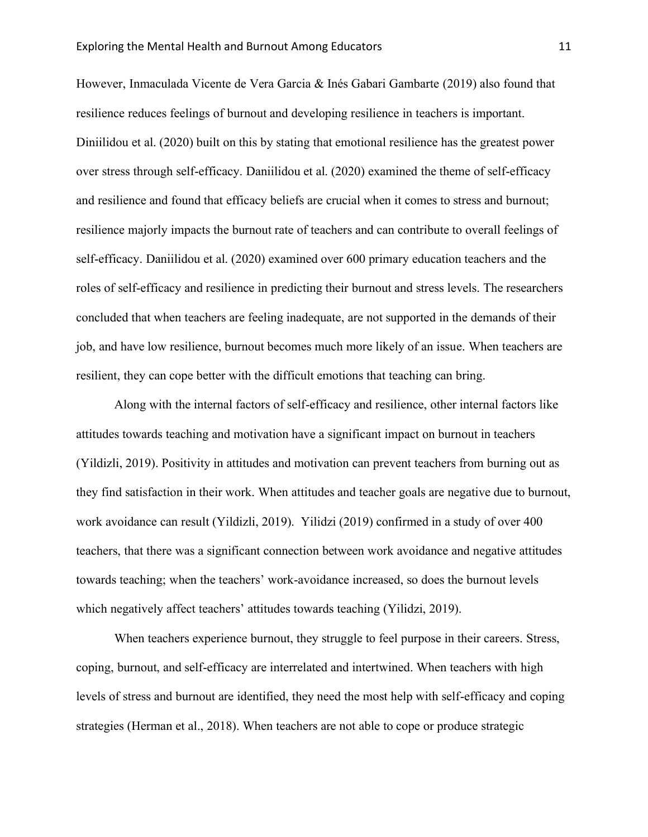However, Inmaculada Vicente de Vera Garcia & Inés Gabari Gambarte (2019) also found that resilience reduces feelings of burnout and developing resilience in teachers is important. Diniilidou et al. (2020) built on this by stating that emotional resilience has the greatest power over stress through self-efficacy. Daniilidou et al. (2020) examined the theme of self-efficacy and resilience and found that efficacy beliefs are crucial when it comes to stress and burnout; resilience majorly impacts the burnout rate of teachers and can contribute to overall feelings of self-efficacy. Daniilidou et al. (2020) examined over 600 primary education teachers and the roles of self-efficacy and resilience in predicting their burnout and stress levels. The researchers concluded that when teachers are feeling inadequate, are not supported in the demands of their job, and have low resilience, burnout becomes much more likely of an issue. When teachers are resilient, they can cope better with the difficult emotions that teaching can bring.

Along with the internal factors of self-efficacy and resilience, other internal factors like attitudes towards teaching and motivation have a significant impact on burnout in teachers (Yildizli, 2019). Positivity in attitudes and motivation can prevent teachers from burning out as they find satisfaction in their work. When attitudes and teacher goals are negative due to burnout, work avoidance can result (Yildizli, 2019). Yilidzi (2019) confirmed in a study of over 400 teachers, that there was a significant connection between work avoidance and negative attitudes towards teaching; when the teachers' work-avoidance increased, so does the burnout levels which negatively affect teachers' attitudes towards teaching (Yilidzi, 2019).

When teachers experience burnout, they struggle to feel purpose in their careers. Stress, coping, burnout, and self-efficacy are interrelated and intertwined. When teachers with high levels of stress and burnout are identified, they need the most help with self-efficacy and coping strategies (Herman et al., 2018). When teachers are not able to cope or produce strategic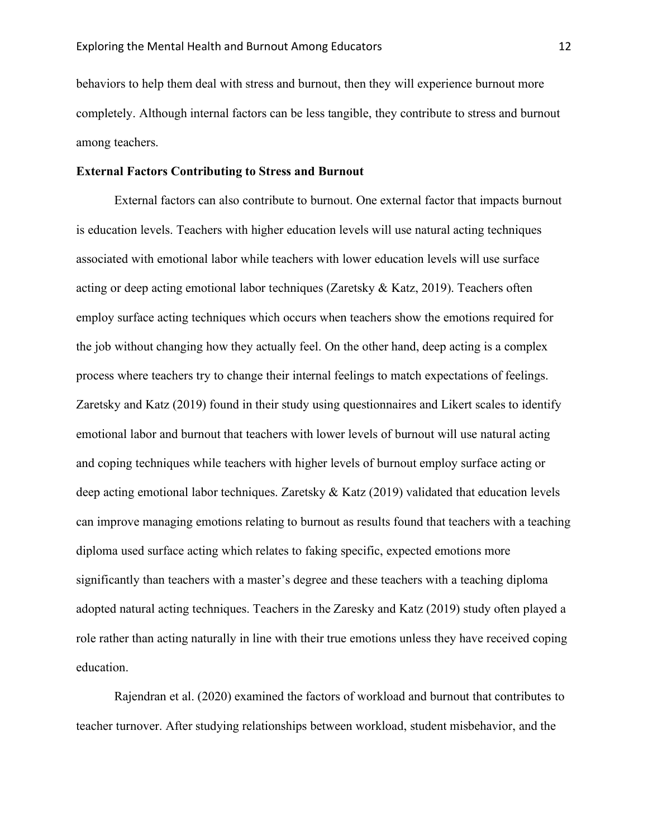behaviors to help them deal with stress and burnout, then they will experience burnout more completely. Although internal factors can be less tangible, they contribute to stress and burnout among teachers.

#### **External Factors Contributing to Stress and Burnout**

External factors can also contribute to burnout. One external factor that impacts burnout is education levels. Teachers with higher education levels will use natural acting techniques associated with emotional labor while teachers with lower education levels will use surface acting or deep acting emotional labor techniques (Zaretsky & Katz, 2019). Teachers often employ surface acting techniques which occurs when teachers show the emotions required for the job without changing how they actually feel. On the other hand, deep acting is a complex process where teachers try to change their internal feelings to match expectations of feelings. Zaretsky and Katz (2019) found in their study using questionnaires and Likert scales to identify emotional labor and burnout that teachers with lower levels of burnout will use natural acting and coping techniques while teachers with higher levels of burnout employ surface acting or deep acting emotional labor techniques. Zaretsky & Katz (2019) validated that education levels can improve managing emotions relating to burnout as results found that teachers with a teaching diploma used surface acting which relates to faking specific, expected emotions more significantly than teachers with a master's degree and these teachers with a teaching diploma adopted natural acting techniques. Teachers in the Zaresky and Katz (2019) study often played a role rather than acting naturally in line with their true emotions unless they have received coping education.

Rajendran et al. (2020) examined the factors of workload and burnout that contributes to teacher turnover. After studying relationships between workload, student misbehavior, and the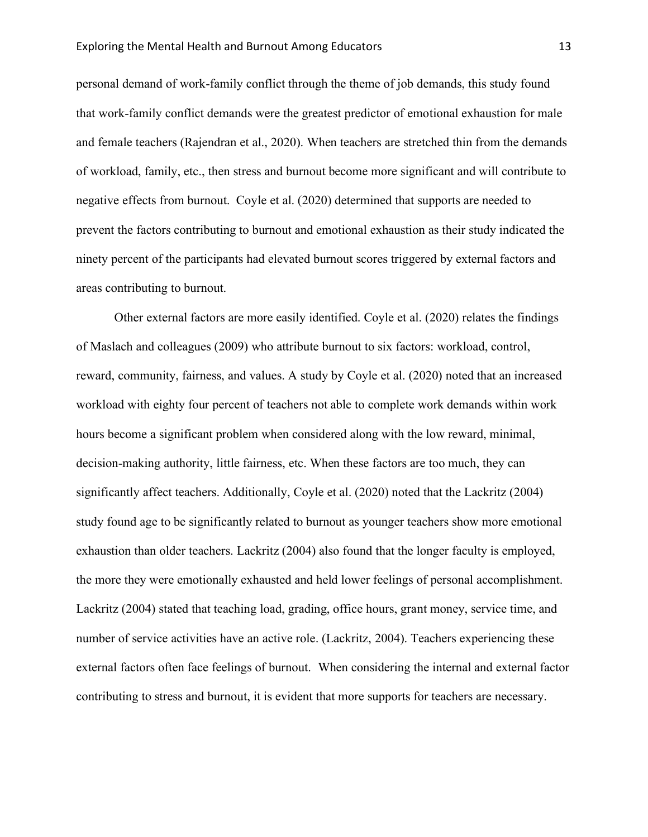personal demand of work-family conflict through the theme of job demands, this study found that work-family conflict demands were the greatest predictor of emotional exhaustion for male and female teachers (Rajendran et al., 2020). When teachers are stretched thin from the demands of workload, family, etc., then stress and burnout become more significant and will contribute to negative effects from burnout. Coyle et al. (2020) determined that supports are needed to prevent the factors contributing to burnout and emotional exhaustion as their study indicated the ninety percent of the participants had elevated burnout scores triggered by external factors and areas contributing to burnout.

Other external factors are more easily identified. Coyle et al. (2020) relates the findings of Maslach and colleagues (2009) who attribute burnout to six factors: workload, control, reward, community, fairness, and values. A study by Coyle et al. (2020) noted that an increased workload with eighty four percent of teachers not able to complete work demands within work hours become a significant problem when considered along with the low reward, minimal, decision-making authority, little fairness, etc. When these factors are too much, they can significantly affect teachers. Additionally, Coyle et al. (2020) noted that the Lackritz (2004) study found age to be significantly related to burnout as younger teachers show more emotional exhaustion than older teachers. Lackritz (2004) also found that the longer faculty is employed, the more they were emotionally exhausted and held lower feelings of personal accomplishment. Lackritz (2004) stated that teaching load, grading, office hours, grant money, service time, and number of service activities have an active role. (Lackritz, 2004). Teachers experiencing these external factors often face feelings of burnout. When considering the internal and external factor contributing to stress and burnout, it is evident that more supports for teachers are necessary.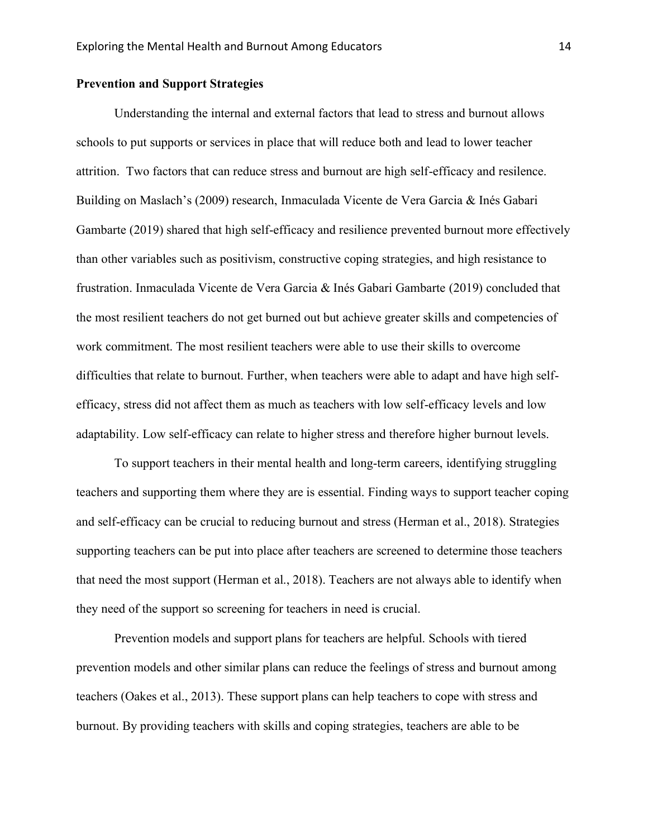#### **Prevention and Support Strategies**

Understanding the internal and external factors that lead to stress and burnout allows schools to put supports or services in place that will reduce both and lead to lower teacher attrition. Two factors that can reduce stress and burnout are high self-efficacy and resilence. Building on Maslach's (2009) research, Inmaculada Vicente de Vera Garcia & Inés Gabari Gambarte (2019) shared that high self-efficacy and resilience prevented burnout more effectively than other variables such as positivism, constructive coping strategies, and high resistance to frustration. Inmaculada Vicente de Vera Garcia & Inés Gabari Gambarte (2019) concluded that the most resilient teachers do not get burned out but achieve greater skills and competencies of work commitment. The most resilient teachers were able to use their skills to overcome difficulties that relate to burnout. Further, when teachers were able to adapt and have high selfefficacy, stress did not affect them as much as teachers with low self-efficacy levels and low adaptability. Low self-efficacy can relate to higher stress and therefore higher burnout levels.

To support teachers in their mental health and long-term careers, identifying struggling teachers and supporting them where they are is essential. Finding ways to support teacher coping and self-efficacy can be crucial to reducing burnout and stress (Herman et al., 2018). Strategies supporting teachers can be put into place after teachers are screened to determine those teachers that need the most support (Herman et al., 2018). Teachers are not always able to identify when they need of the support so screening for teachers in need is crucial.

Prevention models and support plans for teachers are helpful. Schools with tiered prevention models and other similar plans can reduce the feelings of stress and burnout among teachers (Oakes et al., 2013). These support plans can help teachers to cope with stress and burnout. By providing teachers with skills and coping strategies, teachers are able to be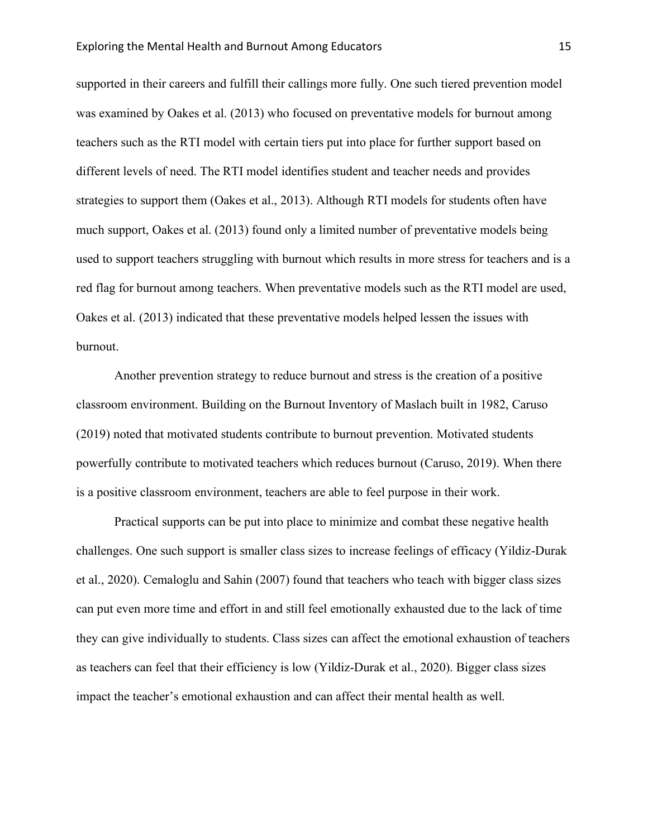supported in their careers and fulfill their callings more fully. One such tiered prevention model was examined by Oakes et al. (2013) who focused on preventative models for burnout among teachers such as the RTI model with certain tiers put into place for further support based on different levels of need. The RTI model identifies student and teacher needs and provides strategies to support them (Oakes et al., 2013). Although RTI models for students often have much support, Oakes et al. (2013) found only a limited number of preventative models being used to support teachers struggling with burnout which results in more stress for teachers and is a red flag for burnout among teachers. When preventative models such as the RTI model are used, Oakes et al. (2013) indicated that these preventative models helped lessen the issues with burnout.

Another prevention strategy to reduce burnout and stress is the creation of a positive classroom environment. Building on the Burnout Inventory of Maslach built in 1982, Caruso (2019) noted that motivated students contribute to burnout prevention. Motivated students powerfully contribute to motivated teachers which reduces burnout (Caruso, 2019). When there is a positive classroom environment, teachers are able to feel purpose in their work.

Practical supports can be put into place to minimize and combat these negative health challenges. One such support is smaller class sizes to increase feelings of efficacy (Yildiz-Durak et al., 2020). Cemaloglu and Sahin (2007) found that teachers who teach with bigger class sizes can put even more time and effort in and still feel emotionally exhausted due to the lack of time they can give individually to students. Class sizes can affect the emotional exhaustion of teachers as teachers can feel that their efficiency is low (Yildiz-Durak et al., 2020). Bigger class sizes impact the teacher's emotional exhaustion and can affect their mental health as well.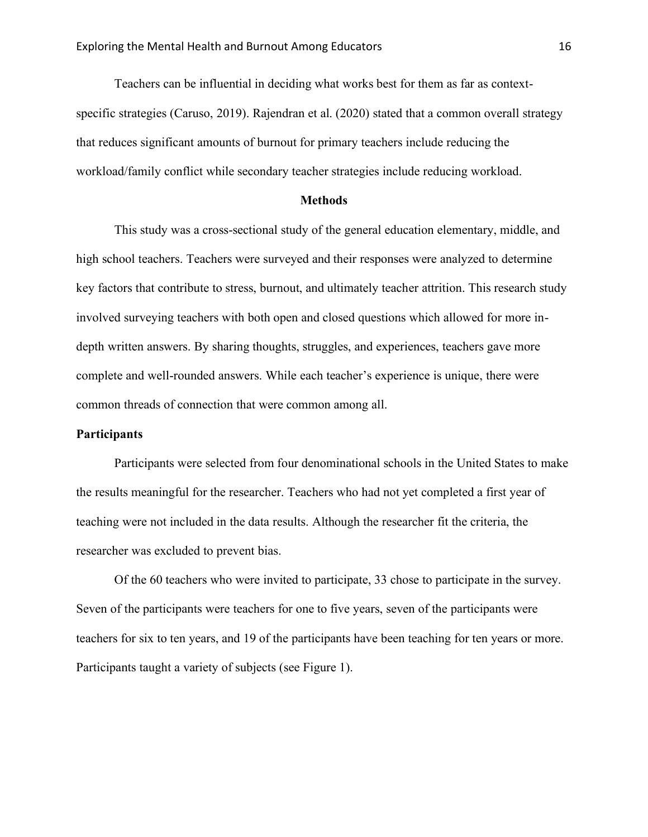Teachers can be influential in deciding what works best for them as far as contextspecific strategies (Caruso, 2019). Rajendran et al. (2020) stated that a common overall strategy that reduces significant amounts of burnout for primary teachers include reducing the workload/family conflict while secondary teacher strategies include reducing workload.

#### **Methods**

This study was a cross-sectional study of the general education elementary, middle, and high school teachers. Teachers were surveyed and their responses were analyzed to determine key factors that contribute to stress, burnout, and ultimately teacher attrition. This research study involved surveying teachers with both open and closed questions which allowed for more indepth written answers. By sharing thoughts, struggles, and experiences, teachers gave more complete and well-rounded answers. While each teacher's experience is unique, there were common threads of connection that were common among all.

#### **Participants**

Participants were selected from four denominational schools in the United States to make the results meaningful for the researcher. Teachers who had not yet completed a first year of teaching were not included in the data results. Although the researcher fit the criteria, the researcher was excluded to prevent bias.

Of the 60 teachers who were invited to participate, 33 chose to participate in the survey. Seven of the participants were teachers for one to five years, seven of the participants were teachers for six to ten years, and 19 of the participants have been teaching for ten years or more. Participants taught a variety of subjects (see Figure 1).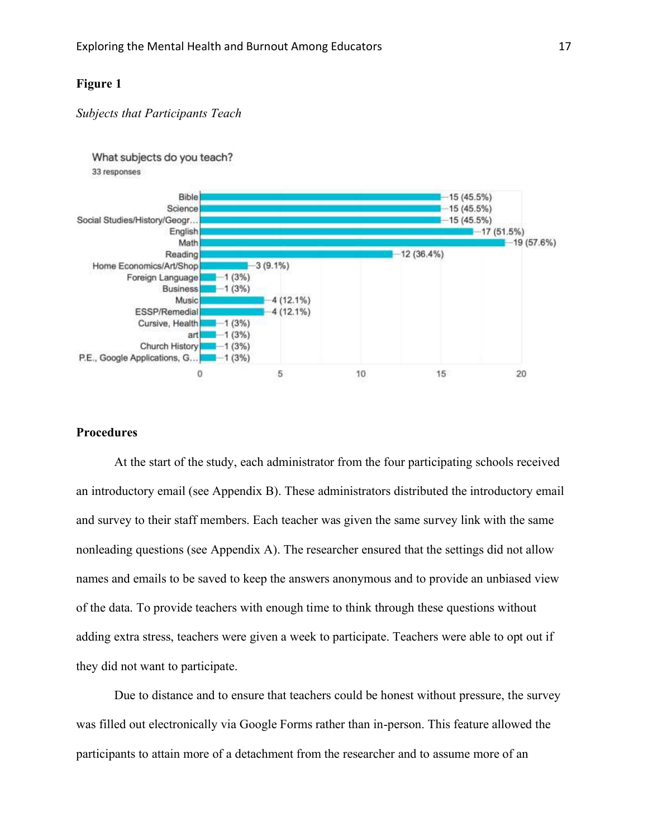### **Figure 1**

#### *Subjects that Participants Teach*



#### **Procedures**

At the start of the study, each administrator from the four participating schools received an introductory email (see Appendix B). These administrators distributed the introductory email and survey to their staff members. Each teacher was given the same survey link with the same nonleading questions (see Appendix A). The researcher ensured that the settings did not allow names and emails to be saved to keep the answers anonymous and to provide an unbiased view of the data. To provide teachers with enough time to think through these questions without adding extra stress, teachers were given a week to participate. Teachers were able to opt out if they did not want to participate.

Due to distance and to ensure that teachers could be honest without pressure, the survey was filled out electronically via Google Forms rather than in-person. This feature allowed the participants to attain more of a detachment from the researcher and to assume more of an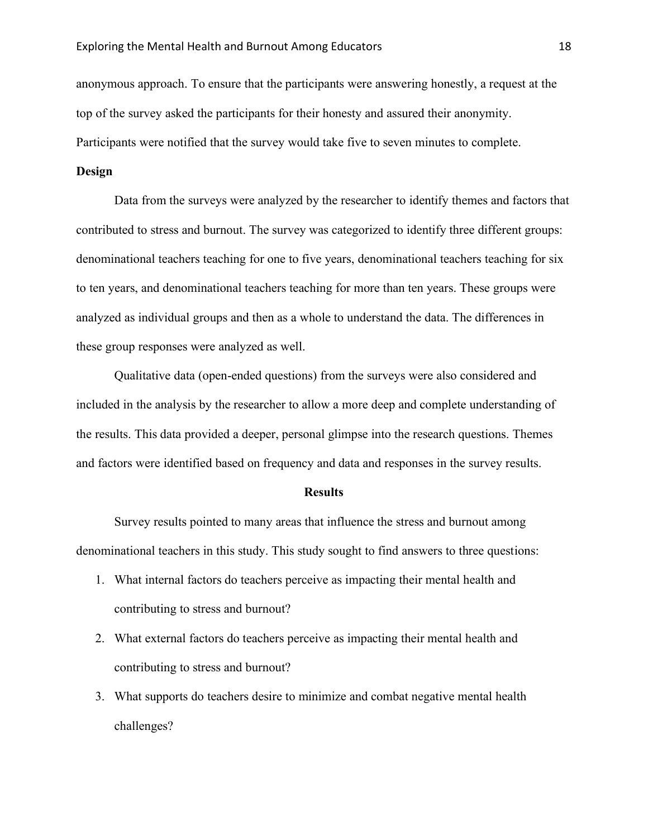anonymous approach. To ensure that the participants were answering honestly, a request at the top of the survey asked the participants for their honesty and assured their anonymity. Participants were notified that the survey would take five to seven minutes to complete.

#### **Design**

Data from the surveys were analyzed by the researcher to identify themes and factors that contributed to stress and burnout. The survey was categorized to identify three different groups: denominational teachers teaching for one to five years, denominational teachers teaching for six to ten years, and denominational teachers teaching for more than ten years. These groups were analyzed as individual groups and then as a whole to understand the data. The differences in these group responses were analyzed as well.

Qualitative data (open-ended questions) from the surveys were also considered and included in the analysis by the researcher to allow a more deep and complete understanding of the results. This data provided a deeper, personal glimpse into the research questions. Themes and factors were identified based on frequency and data and responses in the survey results.

#### **Results**

Survey results pointed to many areas that influence the stress and burnout among denominational teachers in this study. This study sought to find answers to three questions:

- 1. What internal factors do teachers perceive as impacting their mental health and contributing to stress and burnout?
- 2. What external factors do teachers perceive as impacting their mental health and contributing to stress and burnout?
- 3. What supports do teachers desire to minimize and combat negative mental health challenges?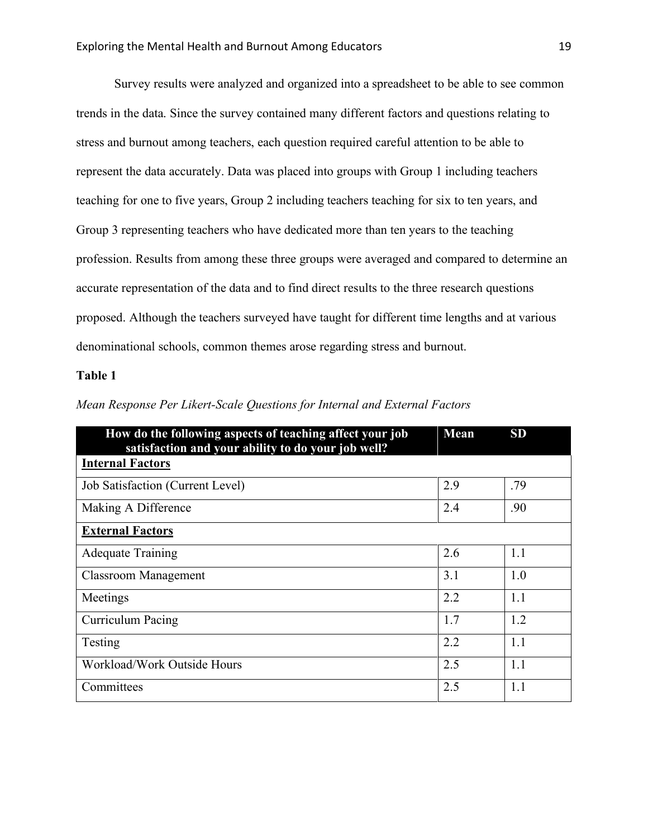Survey results were analyzed and organized into a spreadsheet to be able to see common trends in the data. Since the survey contained many different factors and questions relating to stress and burnout among teachers, each question required careful attention to be able to represent the data accurately. Data was placed into groups with Group 1 including teachers teaching for one to five years, Group 2 including teachers teaching for six to ten years, and Group 3 representing teachers who have dedicated more than ten years to the teaching profession. Results from among these three groups were averaged and compared to determine an accurate representation of the data and to find direct results to the three research questions proposed. Although the teachers surveyed have taught for different time lengths and at various denominational schools, common themes arose regarding stress and burnout.

#### **Table 1**

| How do the following aspects of teaching affect your job<br>satisfaction and your ability to do your job well? | Mean | <b>SD</b> |
|----------------------------------------------------------------------------------------------------------------|------|-----------|
| <b>Internal Factors</b>                                                                                        |      |           |
| Job Satisfaction (Current Level)                                                                               | 2.9  | .79       |
| Making A Difference                                                                                            | 2.4  | .90       |
| <b>External Factors</b>                                                                                        |      |           |
| <b>Adequate Training</b>                                                                                       | 2.6  | 1.1       |
| <b>Classroom Management</b>                                                                                    | 3.1  | 1.0       |
| Meetings                                                                                                       | 2.2  | 1.1       |
| Curriculum Pacing                                                                                              | 1.7  | 1.2       |
| Testing                                                                                                        | 2.2  | 1.1       |
| Workload/Work Outside Hours                                                                                    | 2.5  | 1.1       |
| Committees                                                                                                     | 2.5  | 1.1       |

*Mean Response Per Likert-Scale Questions for Internal and External Factors*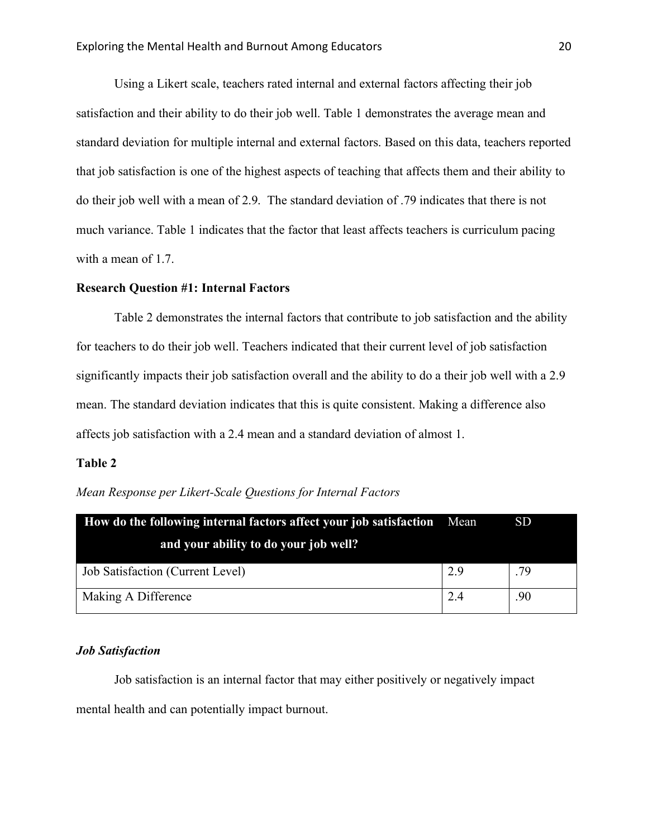Using a Likert scale, teachers rated internal and external factors affecting their job satisfaction and their ability to do their job well. Table 1 demonstrates the average mean and standard deviation for multiple internal and external factors. Based on this data, teachers reported that job satisfaction is one of the highest aspects of teaching that affects them and their ability to do their job well with a mean of 2.9. The standard deviation of .79 indicates that there is not much variance. Table 1 indicates that the factor that least affects teachers is curriculum pacing with a mean of 1.7.

#### **Research Question #1: Internal Factors**

Table 2 demonstrates the internal factors that contribute to job satisfaction and the ability for teachers to do their job well. Teachers indicated that their current level of job satisfaction significantly impacts their job satisfaction overall and the ability to do a their job well with a 2.9 mean. The standard deviation indicates that this is quite consistent. Making a difference also affects job satisfaction with a 2.4 mean and a standard deviation of almost 1.

#### **Table 2**

| Mean Response per Likert-Scale Questions for Internal Factors |  |  |  |  |  |  |  |  |
|---------------------------------------------------------------|--|--|--|--|--|--|--|--|
|---------------------------------------------------------------|--|--|--|--|--|--|--|--|

| How do the following internal factors affect your job satisfaction Mean |     | <b>SD</b> |
|-------------------------------------------------------------------------|-----|-----------|
| and your ability to do your job well?                                   |     |           |
| Job Satisfaction (Current Level)                                        | 2.9 | .79       |
| Making A Difference                                                     | 2.4 | .90       |

### *Job Satisfaction*

Job satisfaction is an internal factor that may either positively or negatively impact mental health and can potentially impact burnout.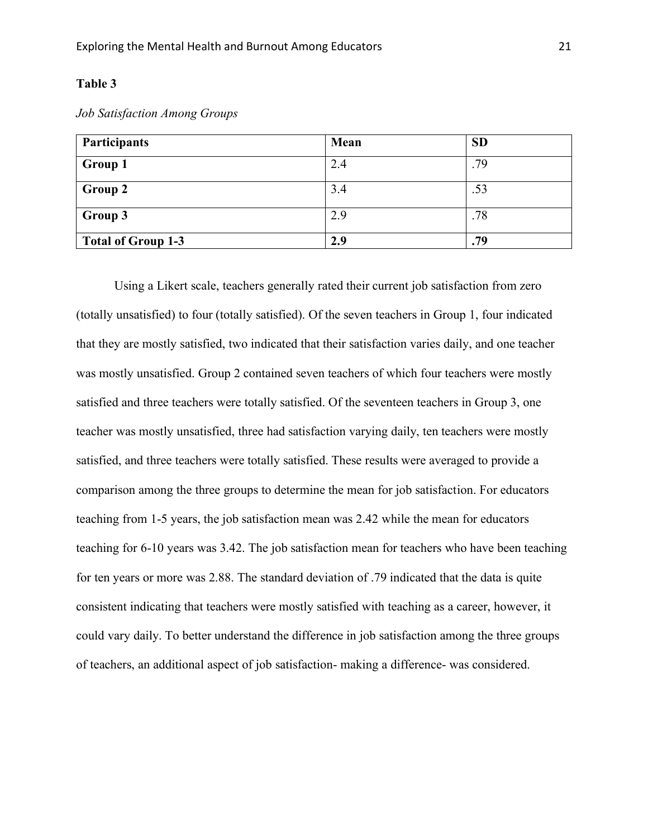## **Table 3**

| Job Satisfaction Among Groups |  |  |  |  |  |
|-------------------------------|--|--|--|--|--|
|-------------------------------|--|--|--|--|--|

| Participants              | Mean | <b>SD</b> |
|---------------------------|------|-----------|
| <b>Group 1</b>            | 2.4  | .79       |
| Group 2                   | 3.4  | .53       |
| Group 3                   | 2.9  | .78       |
| <b>Total of Group 1-3</b> | 2.9  | .79       |

Using a Likert scale, teachers generally rated their current job satisfaction from zero (totally unsatisfied) to four (totally satisfied). Of the seven teachers in Group 1, four indicated that they are mostly satisfied, two indicated that their satisfaction varies daily, and one teacher was mostly unsatisfied. Group 2 contained seven teachers of which four teachers were mostly satisfied and three teachers were totally satisfied. Of the seventeen teachers in Group 3, one teacher was mostly unsatisfied, three had satisfaction varying daily, ten teachers were mostly satisfied, and three teachers were totally satisfied. These results were averaged to provide a comparison among the three groups to determine the mean for job satisfaction. For educators teaching from 1-5 years, the job satisfaction mean was 2.42 while the mean for educators teaching for 6-10 years was 3.42. The job satisfaction mean for teachers who have been teaching for ten years or more was 2.88. The standard deviation of .79 indicated that the data is quite consistent indicating that teachers were mostly satisfied with teaching as a career, however, it could vary daily. To better understand the difference in job satisfaction among the three groups of teachers, an additional aspect of job satisfaction- making a difference- was considered.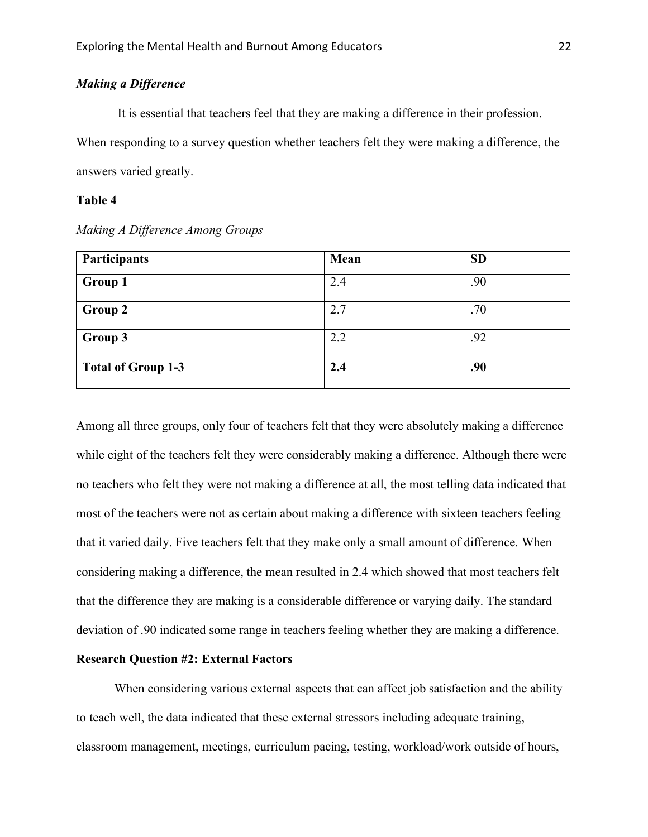# *Making a Difference*

It is essential that teachers feel that they are making a difference in their profession. When responding to a survey question whether teachers felt they were making a difference, the answers varied greatly.

#### **Table 4**

| Participants              | Mean | <b>SD</b> |
|---------------------------|------|-----------|
| <b>Group 1</b>            | 2.4  | .90       |
| <b>Group 2</b>            | 2.7  | .70       |
| Group 3                   | 2.2  | .92       |
| <b>Total of Group 1-3</b> | 2.4  | .90       |

*Making A Difference Among Groups*

Among all three groups, only four of teachers felt that they were absolutely making a difference while eight of the teachers felt they were considerably making a difference. Although there were no teachers who felt they were not making a difference at all, the most telling data indicated that most of the teachers were not as certain about making a difference with sixteen teachers feeling that it varied daily. Five teachers felt that they make only a small amount of difference. When considering making a difference, the mean resulted in 2.4 which showed that most teachers felt that the difference they are making is a considerable difference or varying daily. The standard deviation of .90 indicated some range in teachers feeling whether they are making a difference.

#### **Research Question #2: External Factors**

When considering various external aspects that can affect job satisfaction and the ability to teach well, the data indicated that these external stressors including adequate training, classroom management, meetings, curriculum pacing, testing, workload/work outside of hours,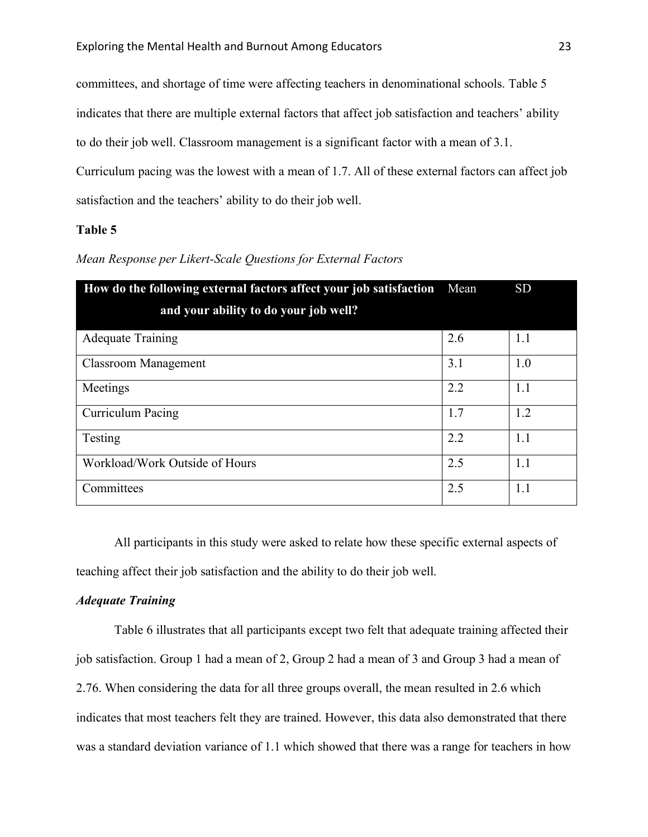committees, and shortage of time were affecting teachers in denominational schools. Table 5

indicates that there are multiple external factors that affect job satisfaction and teachers' ability

to do their job well. Classroom management is a significant factor with a mean of 3.1.

Curriculum pacing was the lowest with a mean of 1.7. All of these external factors can affect job satisfaction and the teachers' ability to do their job well.

#### **Table 5**

| How do the following external factors affect your job satisfaction | Mean | <b>SD</b> |
|--------------------------------------------------------------------|------|-----------|
| and your ability to do your job well?                              |      |           |
| <b>Adequate Training</b>                                           | 2.6  | 1.1       |
| Classroom Management                                               | 3.1  | 1.0       |
| Meetings                                                           | 2.2  | 1.1       |
| Curriculum Pacing                                                  | 1.7  | 1.2       |
| Testing                                                            | 2.2  | 1.1       |
| Workload/Work Outside of Hours                                     | 2.5  | 1.1       |
| Committees                                                         | 2.5  | 1.1       |

*Mean Response per Likert-Scale Questions for External Factors* 

All participants in this study were asked to relate how these specific external aspects of teaching affect their job satisfaction and the ability to do their job well.

#### *Adequate Training*

Table 6 illustrates that all participants except two felt that adequate training affected their job satisfaction. Group 1 had a mean of 2, Group 2 had a mean of 3 and Group 3 had a mean of 2.76. When considering the data for all three groups overall, the mean resulted in 2.6 which indicates that most teachers felt they are trained. However, this data also demonstrated that there was a standard deviation variance of 1.1 which showed that there was a range for teachers in how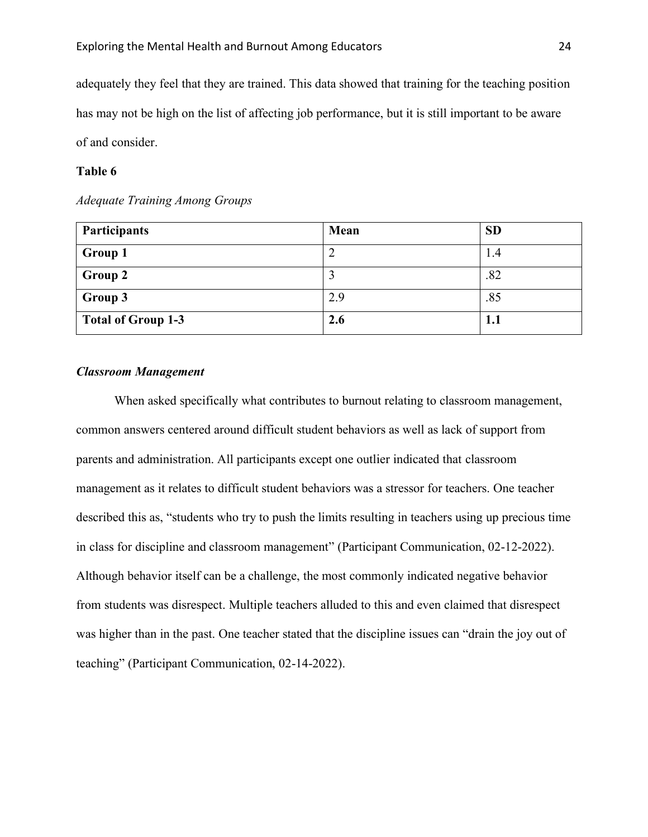adequately they feel that they are trained. This data showed that training for the teaching position has may not be high on the list of affecting job performance, but it is still important to be aware of and consider.

#### **Table 6**

#### *Adequate Training Among Groups*

| Participants              | Mean | <b>SD</b> |
|---------------------------|------|-----------|
| <b>Group 1</b>            |      | 1.4       |
| <b>Group 2</b>            |      | .82       |
| Group 3                   | 2.9  | .85       |
| <b>Total of Group 1-3</b> | 2.6  | 1.1       |

#### *Classroom Management*

When asked specifically what contributes to burnout relating to classroom management, common answers centered around difficult student behaviors as well as lack of support from parents and administration. All participants except one outlier indicated that classroom management as it relates to difficult student behaviors was a stressor for teachers. One teacher described this as, "students who try to push the limits resulting in teachers using up precious time in class for discipline and classroom management" (Participant Communication, 02-12-2022). Although behavior itself can be a challenge, the most commonly indicated negative behavior from students was disrespect. Multiple teachers alluded to this and even claimed that disrespect was higher than in the past. One teacher stated that the discipline issues can "drain the joy out of teaching" (Participant Communication, 02-14-2022).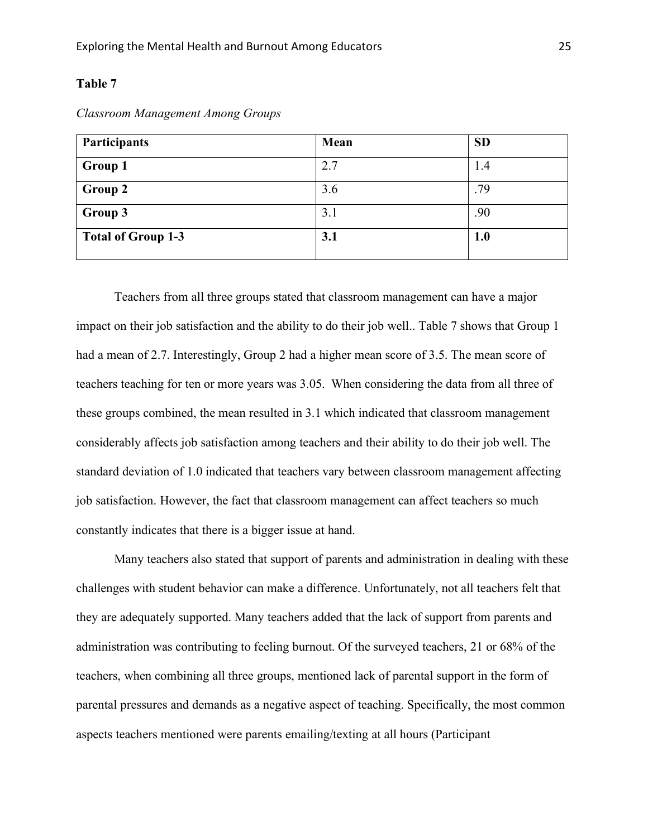#### **Table 7**

| Participants              | Mean | <b>SD</b> |
|---------------------------|------|-----------|
| Group 1                   | 2.7  | 1.4       |
| <b>Group 2</b>            | 3.6  | .79       |
| Group 3                   | 3.1  | .90       |
| <b>Total of Group 1-3</b> | 3.1  | 1.0       |

*Classroom Management Among Groups*

Teachers from all three groups stated that classroom management can have a major impact on their job satisfaction and the ability to do their job well.. Table 7 shows that Group 1 had a mean of 2.7. Interestingly, Group 2 had a higher mean score of 3.5. The mean score of teachers teaching for ten or more years was 3.05. When considering the data from all three of these groups combined, the mean resulted in 3.1 which indicated that classroom management considerably affects job satisfaction among teachers and their ability to do their job well. The standard deviation of 1.0 indicated that teachers vary between classroom management affecting job satisfaction. However, the fact that classroom management can affect teachers so much constantly indicates that there is a bigger issue at hand.

Many teachers also stated that support of parents and administration in dealing with these challenges with student behavior can make a difference. Unfortunately, not all teachers felt that they are adequately supported. Many teachers added that the lack of support from parents and administration was contributing to feeling burnout. Of the surveyed teachers, 21 or 68% of the teachers, when combining all three groups, mentioned lack of parental support in the form of parental pressures and demands as a negative aspect of teaching. Specifically, the most common aspects teachers mentioned were parents emailing/texting at all hours (Participant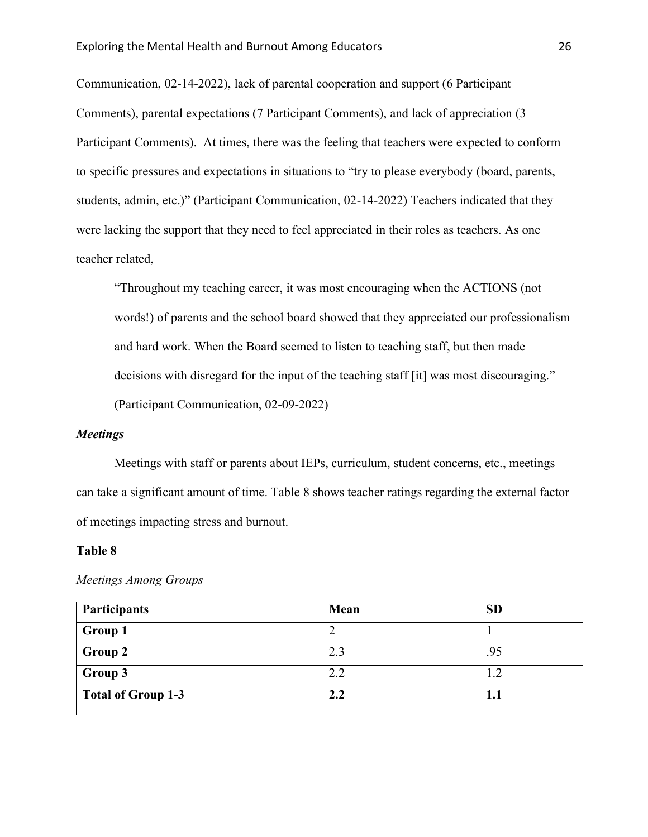Communication, 02-14-2022), lack of parental cooperation and support (6 Participant Comments), parental expectations (7 Participant Comments), and lack of appreciation (3 Participant Comments). At times, there was the feeling that teachers were expected to conform to specific pressures and expectations in situations to "try to please everybody (board, parents, students, admin, etc.)" (Participant Communication, 02-14-2022) Teachers indicated that they were lacking the support that they need to feel appreciated in their roles as teachers. As one teacher related,

"Throughout my teaching career, it was most encouraging when the ACTIONS (not words!) of parents and the school board showed that they appreciated our professionalism and hard work. When the Board seemed to listen to teaching staff, but then made decisions with disregard for the input of the teaching staff [it] was most discouraging." (Participant Communication, 02-09-2022)

#### *Meetings*

Meetings with staff or parents about IEPs, curriculum, student concerns, etc., meetings can take a significant amount of time. Table 8 shows teacher ratings regarding the external factor of meetings impacting stress and burnout.

#### **Table 8**

| Participants              | Mean | SD          |
|---------------------------|------|-------------|
| Group 1                   |      |             |
| Group 2                   | 2.3  | .95         |
| Group 3                   | 2.2  | 1.2         |
| <b>Total of Group 1-3</b> | 2.2  | ${\bf 1.1}$ |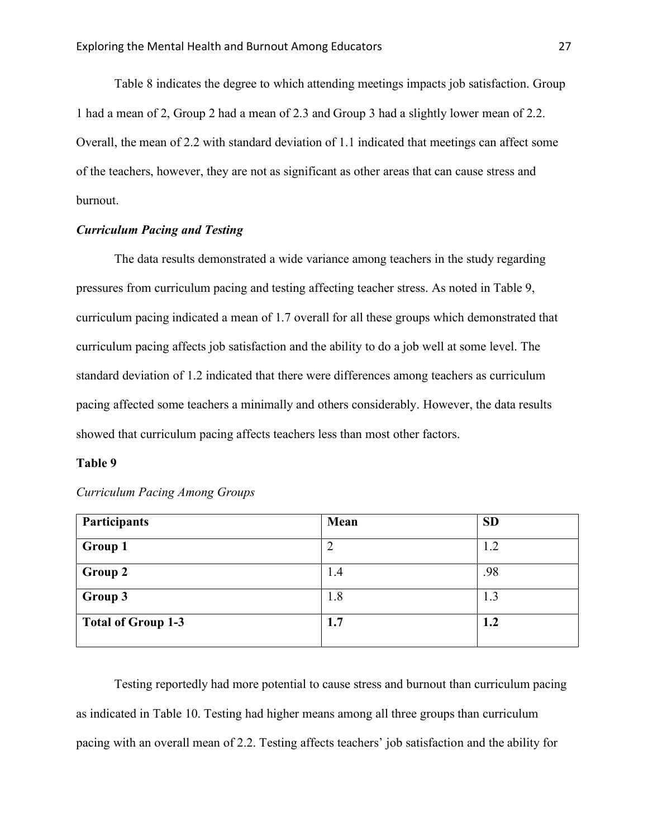Table 8 indicates the degree to which attending meetings impacts job satisfaction. Group 1 had a mean of 2, Group 2 had a mean of 2.3 and Group 3 had a slightly lower mean of 2.2. Overall, the mean of 2.2 with standard deviation of 1.1 indicated that meetings can affect some of the teachers, however, they are not as significant as other areas that can cause stress and burnout.

#### *Curriculum Pacing and Testing*

The data results demonstrated a wide variance among teachers in the study regarding pressures from curriculum pacing and testing affecting teacher stress. As noted in Table 9, curriculum pacing indicated a mean of 1.7 overall for all these groups which demonstrated that curriculum pacing affects job satisfaction and the ability to do a job well at some level. The standard deviation of 1.2 indicated that there were differences among teachers as curriculum pacing affected some teachers a minimally and others considerably. However, the data results showed that curriculum pacing affects teachers less than most other factors.

#### **Table 9**

| Participants              | Mean | <b>SD</b> |
|---------------------------|------|-----------|
| Group 1                   | ↑    | 1.2       |
| <b>Group 2</b>            | 1.4  | .98       |
| Group 3                   | 1.8  | 1.3       |
| <b>Total of Group 1-3</b> | 1.7  | 1.2       |

*Curriculum Pacing Among Groups*

Testing reportedly had more potential to cause stress and burnout than curriculum pacing as indicated in Table 10. Testing had higher means among all three groups than curriculum pacing with an overall mean of 2.2. Testing affects teachers' job satisfaction and the ability for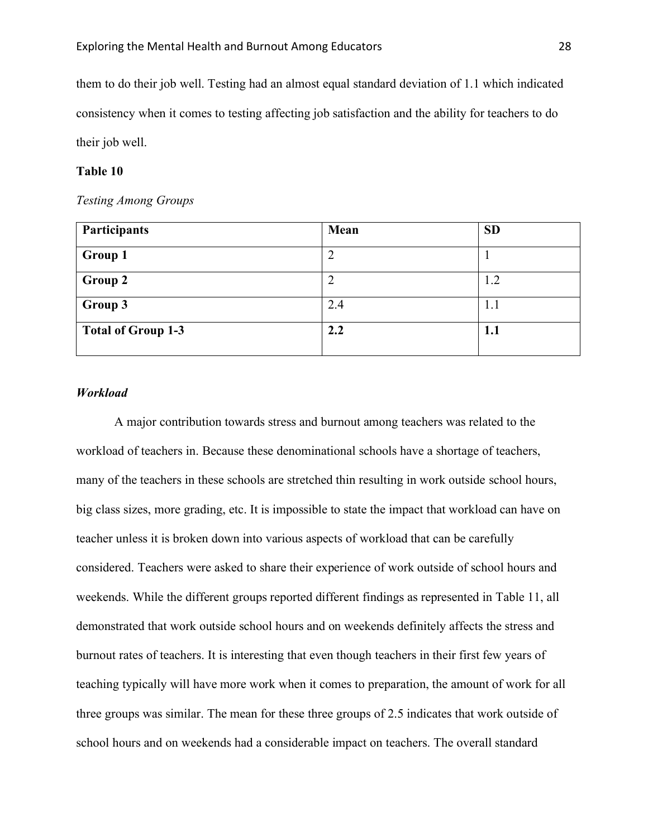them to do their job well. Testing had an almost equal standard deviation of 1.1 which indicated consistency when it comes to testing affecting job satisfaction and the ability for teachers to do their job well.

#### **Table 10**

#### *Testing Among Groups*

| Participants              | Mean | <b>SD</b> |
|---------------------------|------|-----------|
| <b>Group 1</b>            |      |           |
| Group 2                   |      | 1.2       |
| Group 3                   | 2.4  | 1.1       |
| <b>Total of Group 1-3</b> | 2.2  | 1.1       |

#### *Workload*

A major contribution towards stress and burnout among teachers was related to the workload of teachers in. Because these denominational schools have a shortage of teachers, many of the teachers in these schools are stretched thin resulting in work outside school hours, big class sizes, more grading, etc. It is impossible to state the impact that workload can have on teacher unless it is broken down into various aspects of workload that can be carefully considered. Teachers were asked to share their experience of work outside of school hours and weekends. While the different groups reported different findings as represented in Table 11, all demonstrated that work outside school hours and on weekends definitely affects the stress and burnout rates of teachers. It is interesting that even though teachers in their first few years of teaching typically will have more work when it comes to preparation, the amount of work for all three groups was similar. The mean for these three groups of 2.5 indicates that work outside of school hours and on weekends had a considerable impact on teachers. The overall standard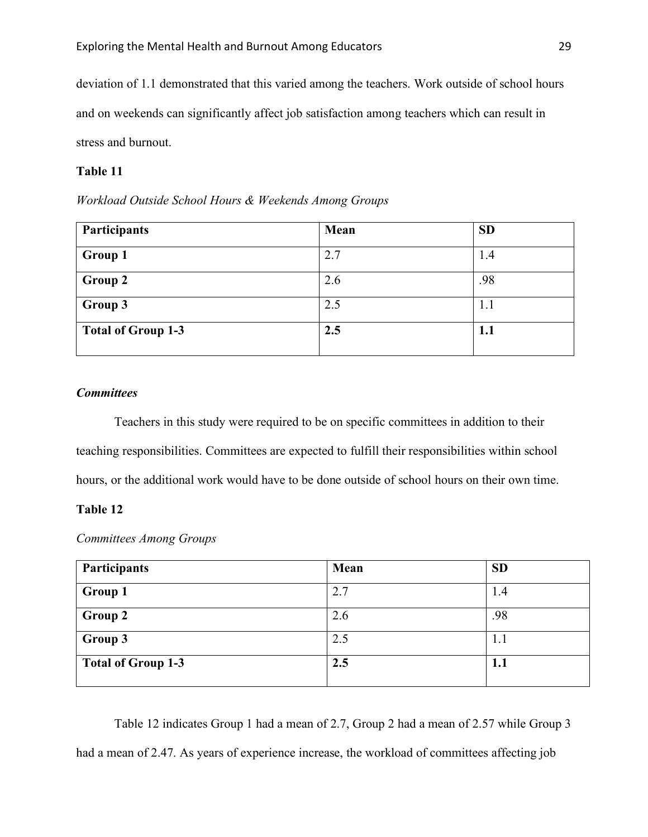deviation of 1.1 demonstrated that this varied among the teachers. Work outside of school hours and on weekends can significantly affect job satisfaction among teachers which can result in stress and burnout.

# **Table 11**

*Workload Outside School Hours & Weekends Among Groups*

| <b>Participants</b>       | Mean | <b>SD</b> |
|---------------------------|------|-----------|
| <b>Group 1</b>            | 2.7  | 1.4       |
| Group 2                   | 2.6  | .98       |
| Group 3                   | 2.5  | 1.1       |
| <b>Total of Group 1-3</b> | 2.5  | 1.1       |

#### *Committees*

Teachers in this study were required to be on specific committees in addition to their teaching responsibilities. Committees are expected to fulfill their responsibilities within school hours, or the additional work would have to be done outside of school hours on their own time.

#### **Table 12**

*Committees Among Groups* 

| Participants              | Mean | <b>SD</b> |
|---------------------------|------|-----------|
| Group 1                   | 2.7  | 1.4       |
| Group 2                   | 2.6  | .98       |
| Group 3                   | 2.5  | 1.1       |
| <b>Total of Group 1-3</b> | 2.5  | 1.1       |

Table 12 indicates Group 1 had a mean of 2.7, Group 2 had a mean of 2.57 while Group 3 had a mean of 2.47. As years of experience increase, the workload of committees affecting job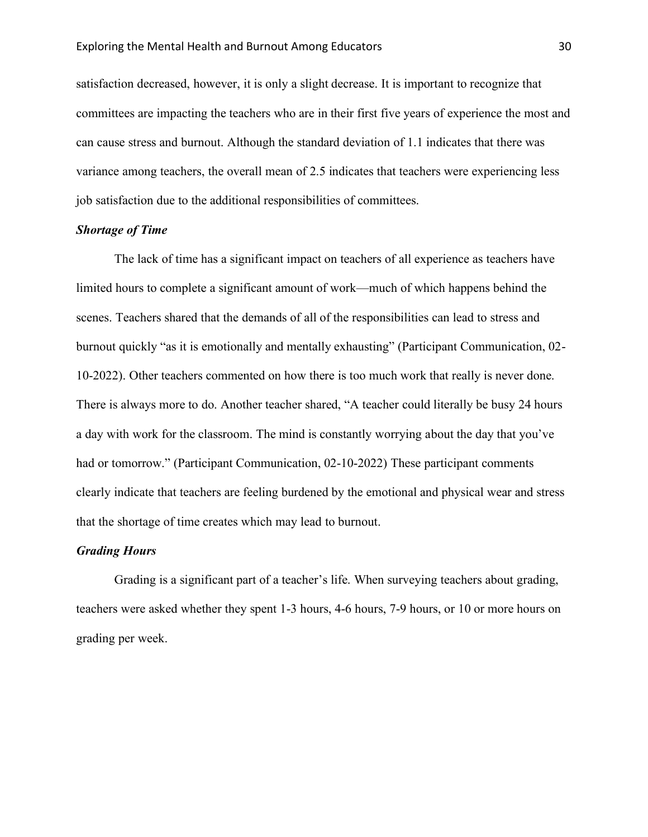satisfaction decreased, however, it is only a slight decrease. It is important to recognize that committees are impacting the teachers who are in their first five years of experience the most and can cause stress and burnout. Although the standard deviation of 1.1 indicates that there was variance among teachers, the overall mean of 2.5 indicates that teachers were experiencing less job satisfaction due to the additional responsibilities of committees.

#### *Shortage of Time*

The lack of time has a significant impact on teachers of all experience as teachers have limited hours to complete a significant amount of work—much of which happens behind the scenes. Teachers shared that the demands of all of the responsibilities can lead to stress and burnout quickly "as it is emotionally and mentally exhausting" (Participant Communication, 02- 10-2022). Other teachers commented on how there is too much work that really is never done. There is always more to do. Another teacher shared, "A teacher could literally be busy 24 hours a day with work for the classroom. The mind is constantly worrying about the day that you've had or tomorrow." (Participant Communication, 02-10-2022) These participant comments clearly indicate that teachers are feeling burdened by the emotional and physical wear and stress that the shortage of time creates which may lead to burnout.

#### *Grading Hours*

Grading is a significant part of a teacher's life. When surveying teachers about grading, teachers were asked whether they spent 1-3 hours, 4-6 hours, 7-9 hours, or 10 or more hours on grading per week.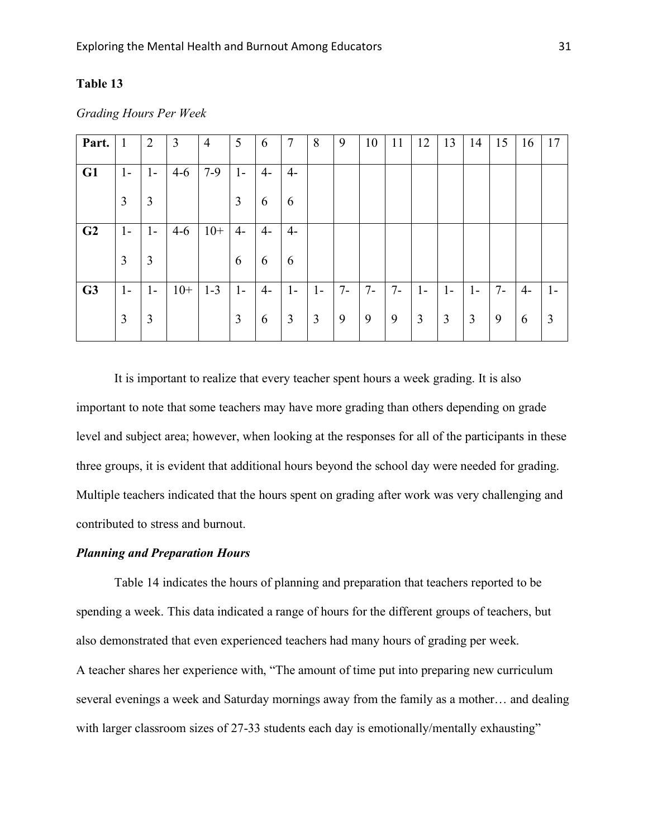# **Table 13**

| Part.          | $\mathbf{1}$   | $\overline{2}$ | 3     | $\overline{4}$ | 5    | 6    | $\overline{7}$ | 8    | 9     | 10    | 11   | 12   | 13   | 14             | 15    | 16 | 17             |
|----------------|----------------|----------------|-------|----------------|------|------|----------------|------|-------|-------|------|------|------|----------------|-------|----|----------------|
| G1             | $1-$           | $1-$           | $4-6$ | $7-9$          | $1-$ | $4-$ | $4-$           |      |       |       |      |      |      |                |       |    |                |
|                | $\overline{3}$ | 3              |       |                | 3    | 6    | 6              |      |       |       |      |      |      |                |       |    |                |
| G <sub>2</sub> | $1-$           | $1-$           | $4-6$ | $10+$          | $4-$ | $4-$ | $4-$           |      |       |       |      |      |      |                |       |    |                |
|                | $\overline{3}$ | 3              |       |                | 6    | 6    | 6              |      |       |       |      |      |      |                |       |    |                |
| G <sub>3</sub> | $1-$           | $1-$           | $10+$ | $1 - 3$        | $1-$ | $4-$ | $1 -$          | $1-$ | $7 -$ | $7 -$ | $7-$ | $1-$ | $1-$ | $1-$           | $7 -$ | 4- | $1-$           |
|                | 3              | 3              |       |                | 3    | 6    | 3              | 3    | 9     | 9     | 9    | 3    | 3    | $\mathfrak{Z}$ | 9     | 6  | $\mathfrak{Z}$ |

*Grading Hours Per Week*

It is important to realize that every teacher spent hours a week grading. It is also important to note that some teachers may have more grading than others depending on grade level and subject area; however, when looking at the responses for all of the participants in these three groups, it is evident that additional hours beyond the school day were needed for grading. Multiple teachers indicated that the hours spent on grading after work was very challenging and contributed to stress and burnout.

#### *Planning and Preparation Hours*

Table 14 indicates the hours of planning and preparation that teachers reported to be spending a week. This data indicated a range of hours for the different groups of teachers, but also demonstrated that even experienced teachers had many hours of grading per week. A teacher shares her experience with, "The amount of time put into preparing new curriculum several evenings a week and Saturday mornings away from the family as a mother… and dealing with larger classroom sizes of 27-33 students each day is emotionally/mentally exhausting"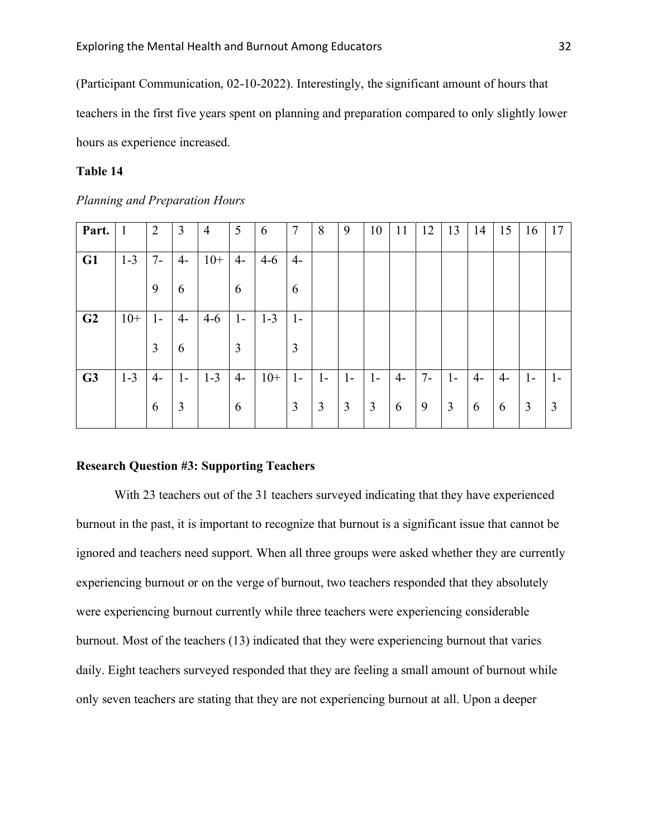(Participant Communication, 02-10-2022). Interestingly, the significant amount of hours that teachers in the first five years spent on planning and preparation compared to only slightly lower hours as experience increased.

### **Table 14**

| Planning and Preparation Hours |  |
|--------------------------------|--|
|--------------------------------|--|

| Part.          | 1       | $\overline{2}$ | 3    | $\overline{4}$ | 5    | 6       | 7            | 8    | 9    | 10   | 11   | 12    | 13   | 14   | 15   | 16   | 17    |
|----------------|---------|----------------|------|----------------|------|---------|--------------|------|------|------|------|-------|------|------|------|------|-------|
| G1             | $1 - 3$ | $7-$           | $4-$ | $10+$          | $4-$ | $4-6$   | $4-$         |      |      |      |      |       |      |      |      |      |       |
|                |         | 9              | 6    |                | 6    |         | 6            |      |      |      |      |       |      |      |      |      |       |
| G <sub>2</sub> | $10+$   | $1-$           | $4-$ | $4-6$          | $1-$ | $1 - 3$ | $\mathbf{I}$ |      |      |      |      |       |      |      |      |      |       |
|                |         | 3              | 6    |                | 3    |         | 3            |      |      |      |      |       |      |      |      |      |       |
| G <sub>3</sub> | $1 - 3$ | $4-$           | $1-$ | $1 - 3$        | $4-$ | $10+$   | $1-$         | $1-$ | $1-$ | $1-$ | $4-$ | $7 -$ | $1-$ | $4-$ | $4-$ | $1-$ | $1 -$ |
|                |         | 6              | 3    |                | 6    |         | 3            | 3    | 3    | 3    | 6    | 9     | 3    | 6    | 6    | 3    | 3     |

#### **Research Question #3: Supporting Teachers**

With 23 teachers out of the 31 teachers surveyed indicating that they have experienced burnout in the past, it is important to recognize that burnout is a significant issue that cannot be ignored and teachers need support. When all three groups were asked whether they are currently experiencing burnout or on the verge of burnout, two teachers responded that they absolutely were experiencing burnout currently while three teachers were experiencing considerable burnout. Most of the teachers (13) indicated that they were experiencing burnout that varies daily. Eight teachers surveyed responded that they are feeling a small amount of burnout while only seven teachers are stating that they are not experiencing burnout at all. Upon a deeper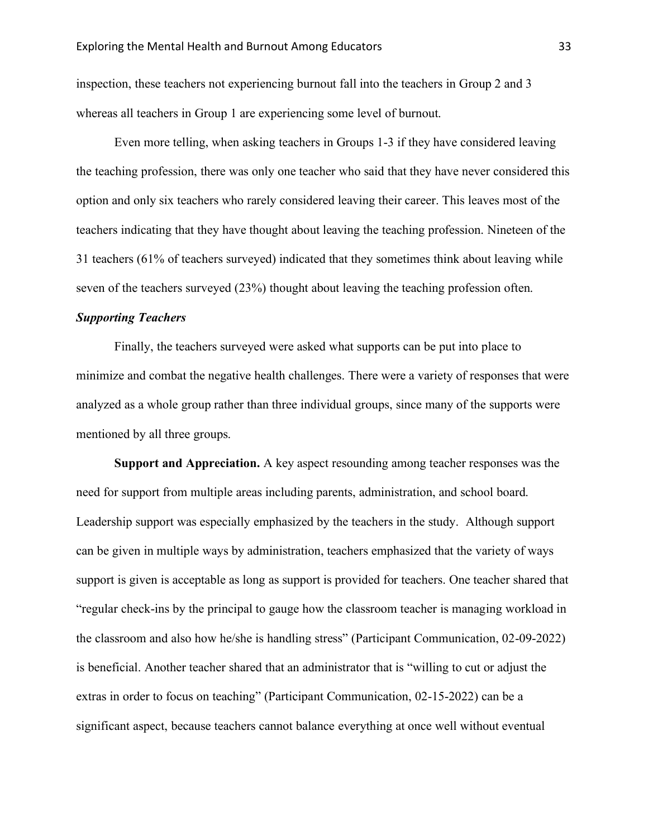inspection, these teachers not experiencing burnout fall into the teachers in Group 2 and 3 whereas all teachers in Group 1 are experiencing some level of burnout.

Even more telling, when asking teachers in Groups 1-3 if they have considered leaving the teaching profession, there was only one teacher who said that they have never considered this option and only six teachers who rarely considered leaving their career. This leaves most of the teachers indicating that they have thought about leaving the teaching profession. Nineteen of the 31 teachers (61% of teachers surveyed) indicated that they sometimes think about leaving while seven of the teachers surveyed (23%) thought about leaving the teaching profession often.

#### *Supporting Teachers*

Finally, the teachers surveyed were asked what supports can be put into place to minimize and combat the negative health challenges. There were a variety of responses that were analyzed as a whole group rather than three individual groups, since many of the supports were mentioned by all three groups.

**Support and Appreciation.** A key aspect resounding among teacher responses was the need for support from multiple areas including parents, administration, and school board. Leadership support was especially emphasized by the teachers in the study. Although support can be given in multiple ways by administration, teachers emphasized that the variety of ways support is given is acceptable as long as support is provided for teachers. One teacher shared that "regular check-ins by the principal to gauge how the classroom teacher is managing workload in the classroom and also how he/she is handling stress" (Participant Communication, 02-09-2022) is beneficial. Another teacher shared that an administrator that is "willing to cut or adjust the extras in order to focus on teaching" (Participant Communication, 02-15-2022) can be a significant aspect, because teachers cannot balance everything at once well without eventual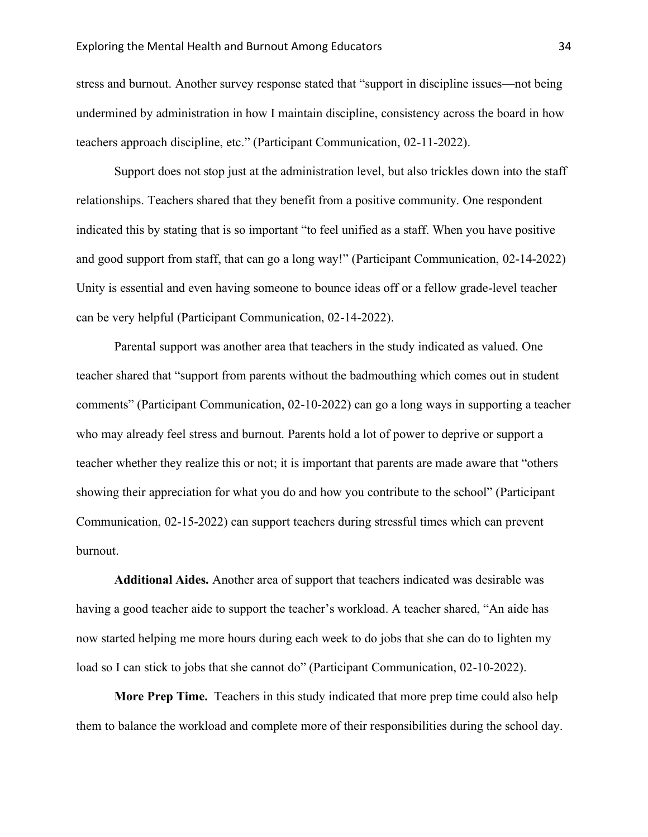stress and burnout. Another survey response stated that "support in discipline issues—not being undermined by administration in how I maintain discipline, consistency across the board in how teachers approach discipline, etc." (Participant Communication, 02-11-2022).

Support does not stop just at the administration level, but also trickles down into the staff relationships. Teachers shared that they benefit from a positive community. One respondent indicated this by stating that is so important "to feel unified as a staff. When you have positive and good support from staff, that can go a long way!" (Participant Communication, 02-14-2022) Unity is essential and even having someone to bounce ideas off or a fellow grade-level teacher can be very helpful (Participant Communication, 02-14-2022).

Parental support was another area that teachers in the study indicated as valued. One teacher shared that "support from parents without the badmouthing which comes out in student comments" (Participant Communication, 02-10-2022) can go a long ways in supporting a teacher who may already feel stress and burnout. Parents hold a lot of power to deprive or support a teacher whether they realize this or not; it is important that parents are made aware that "others showing their appreciation for what you do and how you contribute to the school" (Participant Communication, 02-15-2022) can support teachers during stressful times which can prevent burnout.

**Additional Aides.** Another area of support that teachers indicated was desirable was having a good teacher aide to support the teacher's workload. A teacher shared, "An aide has now started helping me more hours during each week to do jobs that she can do to lighten my load so I can stick to jobs that she cannot do" (Participant Communication, 02-10-2022).

**More Prep Time.** Teachers in this study indicated that more prep time could also help them to balance the workload and complete more of their responsibilities during the school day.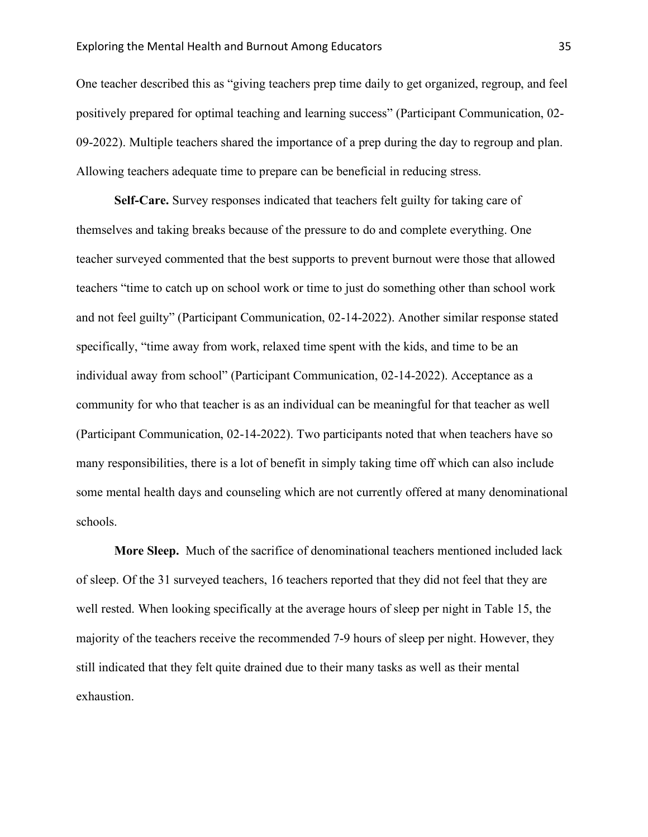One teacher described this as "giving teachers prep time daily to get organized, regroup, and feel positively prepared for optimal teaching and learning success" (Participant Communication, 02- 09-2022). Multiple teachers shared the importance of a prep during the day to regroup and plan. Allowing teachers adequate time to prepare can be beneficial in reducing stress.

**Self-Care.** Survey responses indicated that teachers felt guilty for taking care of themselves and taking breaks because of the pressure to do and complete everything. One teacher surveyed commented that the best supports to prevent burnout were those that allowed teachers "time to catch up on school work or time to just do something other than school work and not feel guilty" (Participant Communication, 02-14-2022). Another similar response stated specifically, "time away from work, relaxed time spent with the kids, and time to be an individual away from school" (Participant Communication, 02-14-2022). Acceptance as a community for who that teacher is as an individual can be meaningful for that teacher as well (Participant Communication, 02-14-2022). Two participants noted that when teachers have so many responsibilities, there is a lot of benefit in simply taking time off which can also include some mental health days and counseling which are not currently offered at many denominational schools.

**More Sleep.** Much of the sacrifice of denominational teachers mentioned included lack of sleep. Of the 31 surveyed teachers, 16 teachers reported that they did not feel that they are well rested. When looking specifically at the average hours of sleep per night in Table 15, the majority of the teachers receive the recommended 7-9 hours of sleep per night. However, they still indicated that they felt quite drained due to their many tasks as well as their mental exhaustion.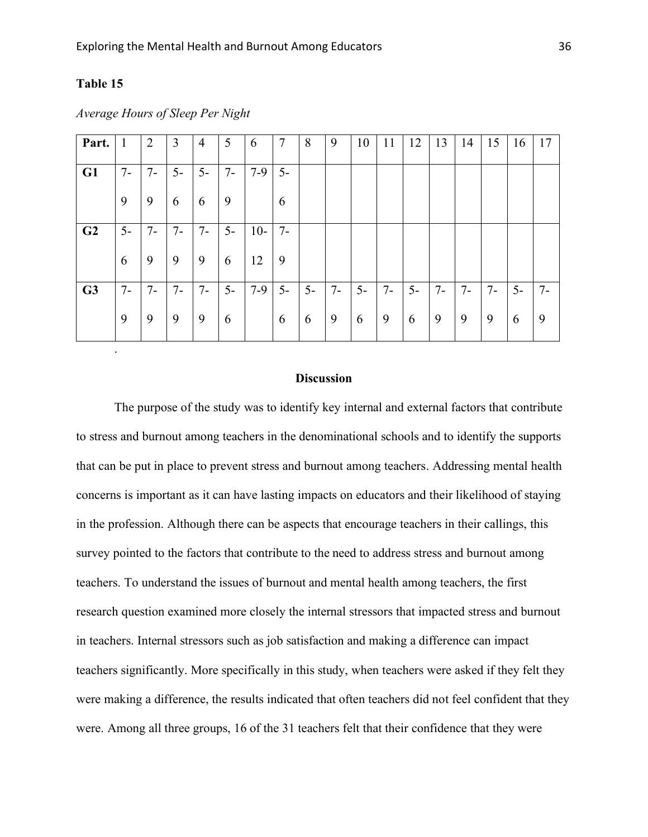# **Table 15**

| Part.          | $\mathbf{1}$ | $\overline{2}$ | 3     | $\overline{4}$ | 5     | 6     | $\overline{7}$ | 8    | 9    | 10   | 11   | 12   | 13   | 14   | 15   | 16   | 17    |
|----------------|--------------|----------------|-------|----------------|-------|-------|----------------|------|------|------|------|------|------|------|------|------|-------|
| G1             | $7-$         | $7-$           | $5-$  | $5-$           | $7 -$ | $7-9$ | $5-$           |      |      |      |      |      |      |      |      |      |       |
|                | 9            | 9              | 6     | 6              | 9     |       | 6              |      |      |      |      |      |      |      |      |      |       |
| G <sub>2</sub> | $5-$         | $7 -$          | $7 -$ | $7 -$          | $5-$  | $10-$ | $7 -$          |      |      |      |      |      |      |      |      |      |       |
|                | 6            | 9              | 9     | 9              | 6     | 12    | 9              |      |      |      |      |      |      |      |      |      |       |
| G <sub>3</sub> | $7-$         | $7 -$          | $7 -$ | $7 -$          | $5-$  | $7-9$ | $5-$           | $5-$ | $7-$ | $5-$ | $7-$ | $5-$ | $7-$ | $7-$ | $7-$ | $5-$ | $7 -$ |
|                | 9            | 9              | 9     | 9              | 6     |       | 6              | 6    | 9    | 6    | 9    | 6    | 9    | 9    | 9    | 6    | 9     |
|                | $\bullet$    |                |       |                |       |       |                |      |      |      |      |      |      |      |      |      |       |

*Average Hours of Sleep Per Night*

#### **Discussion**

The purpose of the study was to identify key internal and external factors that contribute to stress and burnout among teachers in the denominational schools and to identify the supports that can be put in place to prevent stress and burnout among teachers. Addressing mental health concerns is important as it can have lasting impacts on educators and their likelihood of staying in the profession. Although there can be aspects that encourage teachers in their callings, this survey pointed to the factors that contribute to the need to address stress and burnout among teachers. To understand the issues of burnout and mental health among teachers, the first research question examined more closely the internal stressors that impacted stress and burnout in teachers. Internal stressors such as job satisfaction and making a difference can impact teachers significantly. More specifically in this study, when teachers were asked if they felt they were making a difference, the results indicated that often teachers did not feel confident that they were. Among all three groups, 16 of the 31 teachers felt that their confidence that they were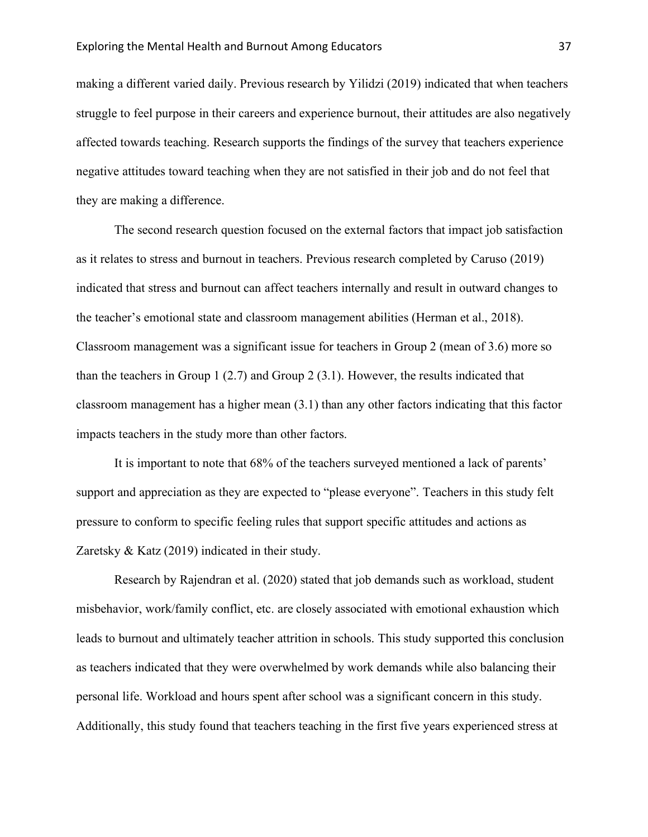making a different varied daily. Previous research by Yilidzi (2019) indicated that when teachers struggle to feel purpose in their careers and experience burnout, their attitudes are also negatively affected towards teaching. Research supports the findings of the survey that teachers experience negative attitudes toward teaching when they are not satisfied in their job and do not feel that they are making a difference.

The second research question focused on the external factors that impact job satisfaction as it relates to stress and burnout in teachers. Previous research completed by Caruso (2019) indicated that stress and burnout can affect teachers internally and result in outward changes to the teacher's emotional state and classroom management abilities (Herman et al., 2018). Classroom management was a significant issue for teachers in Group 2 (mean of 3.6) more so than the teachers in Group 1 (2.7) and Group 2 (3.1). However, the results indicated that classroom management has a higher mean (3.1) than any other factors indicating that this factor impacts teachers in the study more than other factors.

It is important to note that 68% of the teachers surveyed mentioned a lack of parents' support and appreciation as they are expected to "please everyone". Teachers in this study felt pressure to conform to specific feeling rules that support specific attitudes and actions as Zaretsky & Katz (2019) indicated in their study.

Research by Rajendran et al. (2020) stated that job demands such as workload, student misbehavior, work/family conflict, etc. are closely associated with emotional exhaustion which leads to burnout and ultimately teacher attrition in schools. This study supported this conclusion as teachers indicated that they were overwhelmed by work demands while also balancing their personal life. Workload and hours spent after school was a significant concern in this study. Additionally, this study found that teachers teaching in the first five years experienced stress at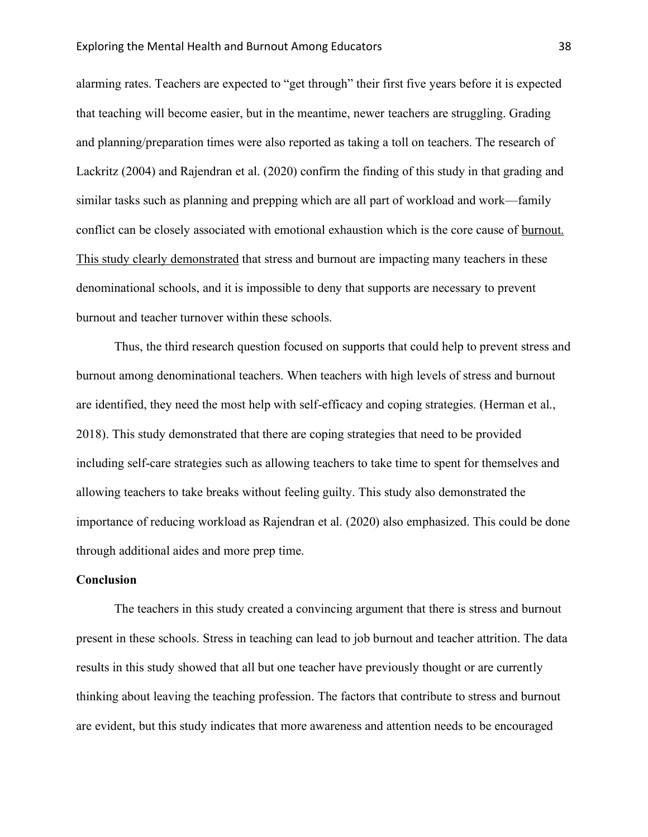alarming rates. Teachers are expected to "get through" their first five years before it is expected that teaching will become easier, but in the meantime, newer teachers are struggling. Grading and planning/preparation times were also reported as taking a toll on teachers. The research of Lackritz (2004) and Rajendran et al. (2020) confirm the finding of this study in that grading and similar tasks such as planning and prepping which are all part of workload and work—family conflict can be closely associated with emotional exhaustion which is the core cause of burnout. This study clearly demonstrated that stress and burnout are impacting many teachers in these denominational schools, and it is impossible to deny that supports are necessary to prevent burnout and teacher turnover within these schools.

Thus, the third research question focused on supports that could help to prevent stress and burnout among denominational teachers. When teachers with high levels of stress and burnout are identified, they need the most help with self-efficacy and coping strategies. (Herman et al., 2018). This study demonstrated that there are coping strategies that need to be provided including self-care strategies such as allowing teachers to take time to spent for themselves and allowing teachers to take breaks without feeling guilty. This study also demonstrated the importance of reducing workload as Rajendran et al. (2020) also emphasized. This could be done through additional aides and more prep time.

#### **Conclusion**

The teachers in this study created a convincing argument that there is stress and burnout present in these schools. Stress in teaching can lead to job burnout and teacher attrition. The data results in this study showed that all but one teacher have previously thought or are currently thinking about leaving the teaching profession. The factors that contribute to stress and burnout are evident, but this study indicates that more awareness and attention needs to be encouraged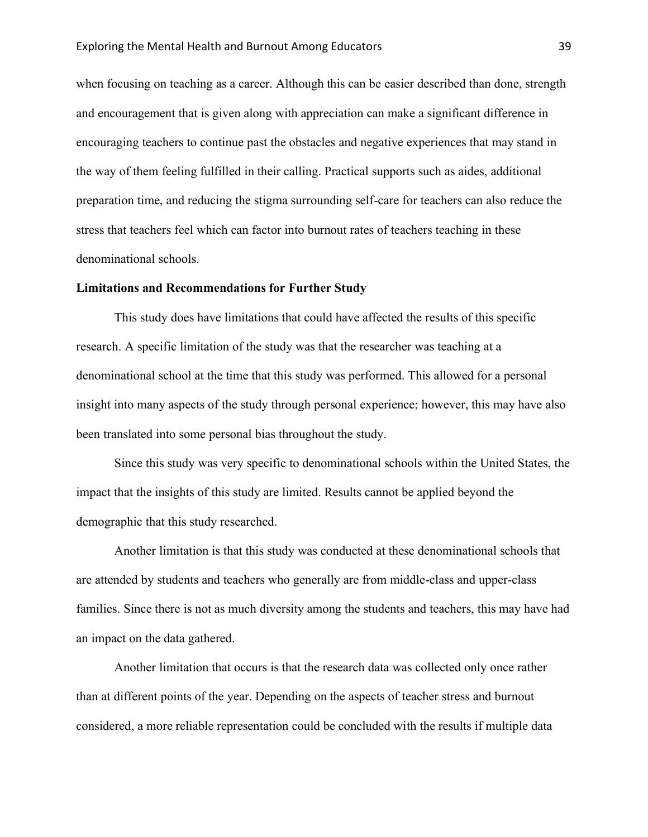when focusing on teaching as a career. Although this can be easier described than done, strength and encouragement that is given along with appreciation can make a significant difference in encouraging teachers to continue past the obstacles and negative experiences that may stand in the way of them feeling fulfilled in their calling. Practical supports such as aides, additional preparation time, and reducing the stigma surrounding self-care for teachers can also reduce the stress that teachers feel which can factor into burnout rates of teachers teaching in these denominational schools.

#### **Limitations and Recommendations for Further Study**

This study does have limitations that could have affected the results of this specific research. A specific limitation of the study was that the researcher was teaching at a denominational school at the time that this study was performed. This allowed for a personal insight into many aspects of the study through personal experience; however, this may have also been translated into some personal bias throughout the study.

Since this study was very specific to denominational schools within the United States, the impact that the insights of this study are limited. Results cannot be applied beyond the demographic that this study researched.

Another limitation is that this study was conducted at these denominational schools that are attended by students and teachers who generally are from middle-class and upper-class families. Since there is not as much diversity among the students and teachers, this may have had an impact on the data gathered.

Another limitation that occurs is that the research data was collected only once rather than at different points of the year. Depending on the aspects of teacher stress and burnout considered, a more reliable representation could be concluded with the results if multiple data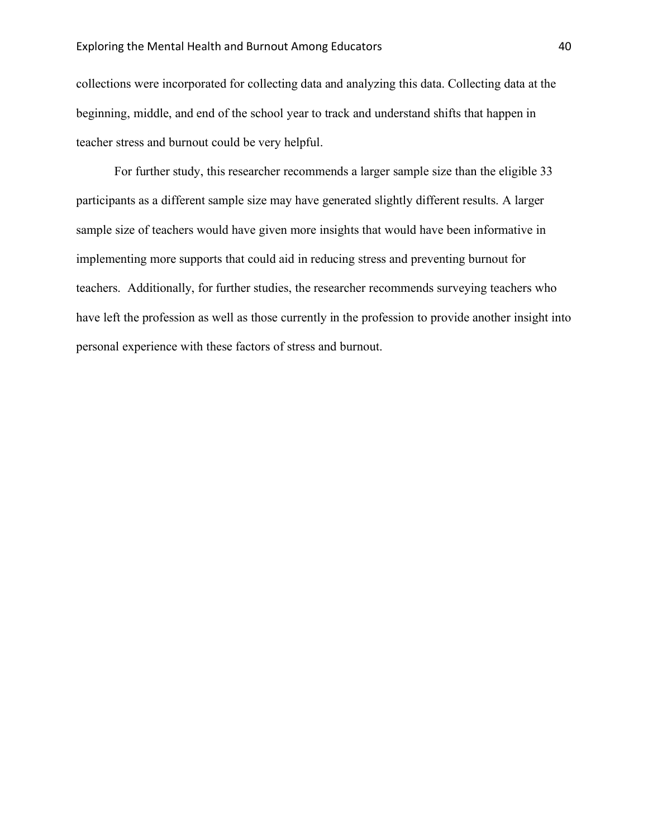collections were incorporated for collecting data and analyzing this data. Collecting data at the beginning, middle, and end of the school year to track and understand shifts that happen in teacher stress and burnout could be very helpful.

For further study, this researcher recommends a larger sample size than the eligible 33 participants as a different sample size may have generated slightly different results. A larger sample size of teachers would have given more insights that would have been informative in implementing more supports that could aid in reducing stress and preventing burnout for teachers. Additionally, for further studies, the researcher recommends surveying teachers who have left the profession as well as those currently in the profession to provide another insight into personal experience with these factors of stress and burnout.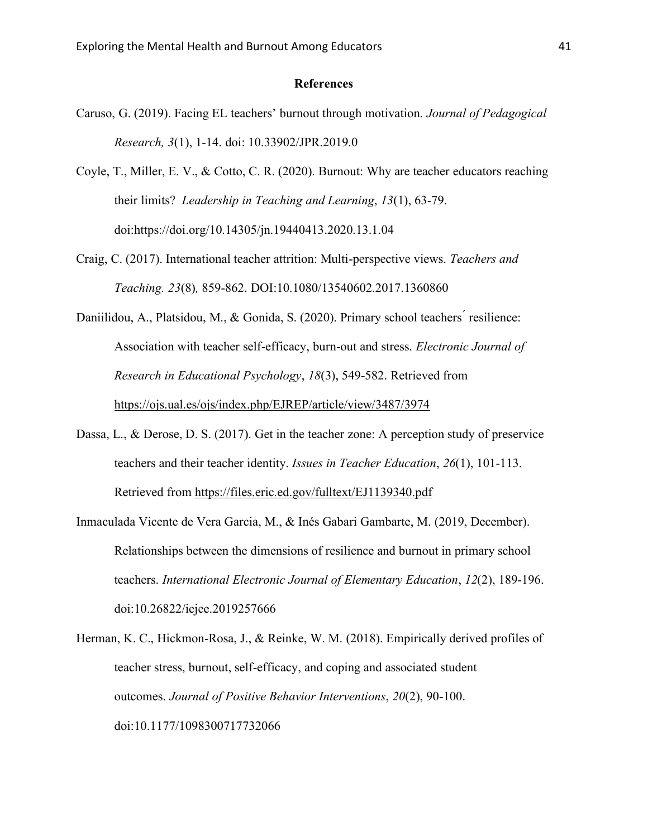#### **References**

- Caruso, G. (2019). Facing EL teachers' burnout through motivation. *Journal of Pedagogical Research, 3*(1), 1-14. doi: 10.33902/JPR.2019.0
- Coyle, T., Miller, E. V., & Cotto, C. R. (2020). Burnout: Why are teacher educators reaching their limits? *Leadership in Teaching and Learning*, *13*(1), 63-79. doi:https://doi.org/10.14305/jn.19440413.2020.13.1.04
- Craig, C. (2017). International teacher attrition: Multi-perspective views. *Teachers and Teaching. 23*(8)*,* 859-862. DOI:10.1080/13540602.2017.1360860
- Daniilidou, A., Platsidou, M., & Gonida, S. (2020). Primary school teachers ́resilience: Association with teacher self-efficacy, burn-out and stress. *Electronic Journal of Research in Educational Psychology*, *18*(3), 549-582. Retrieved from <https://ojs.ual.es/ojs/index.php/EJREP/article/view/3487/3974>
- Dassa, L., & Derose, D. S. (2017). Get in the teacher zone: A perception study of preservice teachers and their teacher identity. *Issues in Teacher Education*, *26*(1), 101-113. Retrieved from<https://files.eric.ed.gov/fulltext/EJ1139340.pdf>
- Inmaculada Vicente de Vera Garcia, M., & Inés Gabari Gambarte, M. (2019, December). Relationships between the dimensions of resilience and burnout in primary school teachers. *International Electronic Journal of Elementary Education*, *12*(2), 189-196. doi:10.26822/iejee.2019257666
- Herman, K. C., Hickmon-Rosa, J., & Reinke, W. M. (2018). Empirically derived profiles of teacher stress, burnout, self-efficacy, and coping and associated student outcomes. *Journal of Positive Behavior Interventions*, *20*(2), 90-100. doi:10.1177/1098300717732066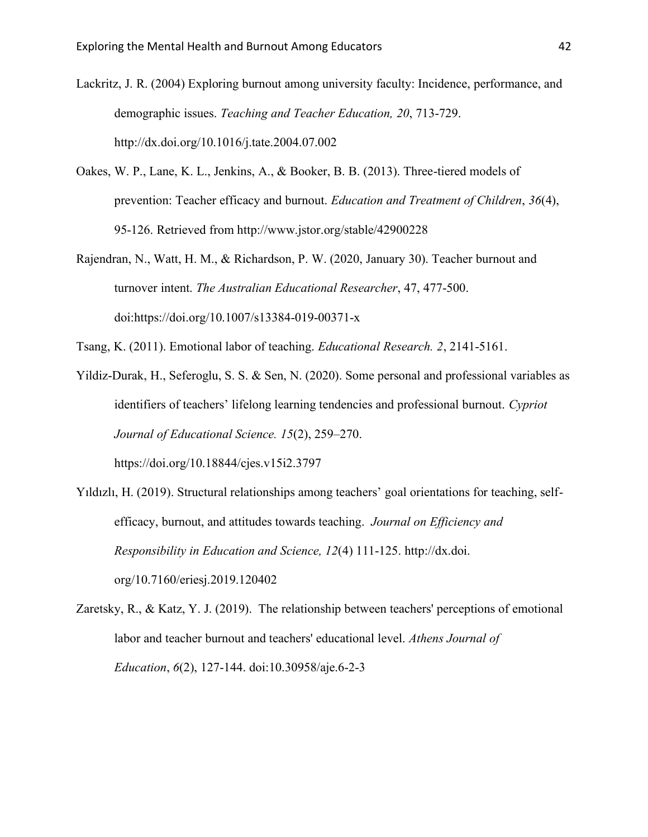- Lackritz, J. R. (2004) Exploring burnout among university faculty: Incidence, performance, and demographic issues. *Teaching and Teacher Education, 20*, 713-729. http://dx.doi.org/10.1016/j.tate.2004.07.002
- Oakes, W. P., Lane, K. L., Jenkins, A., & Booker, B. B. (2013). Three-tiered models of prevention: Teacher efficacy and burnout. *Education and Treatment of Children*, *36*(4), 95-126. Retrieved from http://www.jstor.org/stable/42900228
- Rajendran, N., Watt, H. M., & Richardson, P. W. (2020, January 30). Teacher burnout and turnover intent. *The Australian Educational Researcher*, 47, 477-500. doi:https://doi.org/10.1007/s13384-019-00371-x
- Tsang, K. (2011). Emotional labor of teaching. *Educational Research. 2*, 2141-5161.
- Yildiz-Durak, H., Seferoglu, S. S. & Sen, N. (2020). Some personal and professional variables as identifiers of teachers' lifelong learning tendencies and professional burnout. *Cypriot Journal of Educational Science. 15*(2), 259–270. https://doi.org/10.18844/cjes.v15i2.3797
- Yıldızlı, H. (2019). Structural relationships among teachers' goal orientations for teaching, selfefficacy, burnout, and attitudes towards teaching. *Journal on Efficiency and Responsibility in Education and Science, 12*(4) 111-125. http://dx.doi. org/10.7160/eriesj.2019.120402
- Zaretsky, R., & Katz, Y. J. (2019). The relationship between teachers' perceptions of emotional labor and teacher burnout and teachers' educational level. *Athens Journal of Education*, *6*(2), 127-144. doi:10.30958/aje.6-2-3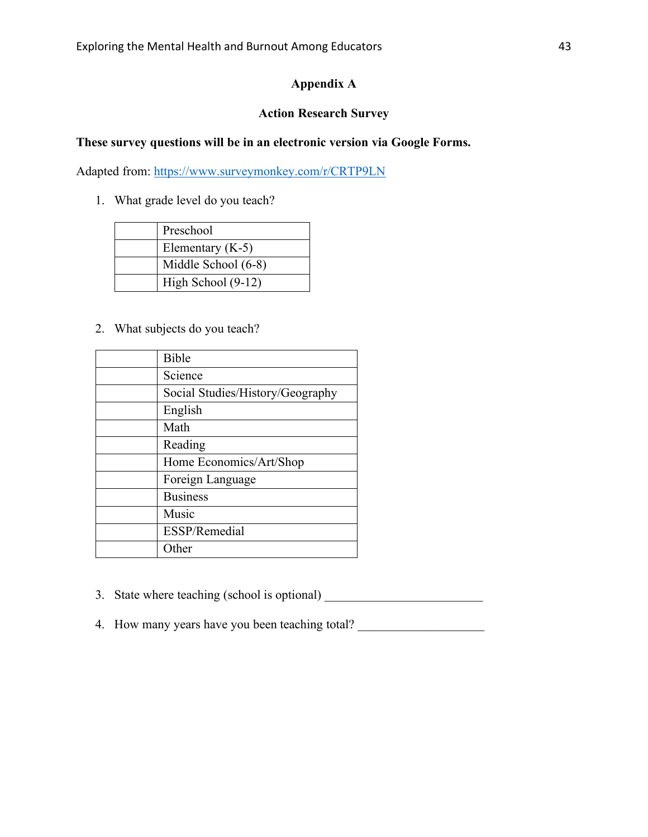# **Appendix A**

# **Action Research Survey**

# **These survey questions will be in an electronic version via Google Forms.**

Adapted from:<https://www.surveymonkey.com/r/CRTP9LN>

1. What grade level do you teach?

| Preschool           |
|---------------------|
| Elementary $(K-5)$  |
| Middle School (6-8) |
| High School (9-12)  |

2. What subjects do you teach?

| Bible                            |
|----------------------------------|
| Science                          |
| Social Studies/History/Geography |
| English                          |
| Math                             |
| Reading                          |
| Home Economics/Art/Shop          |
| Foreign Language                 |
| <b>Business</b>                  |
| Music                            |
| ESSP/Remedial                    |
| Other                            |

- 3. State where teaching (school is optional) \_\_\_\_\_\_\_\_\_\_\_\_\_\_\_\_\_\_\_\_\_\_\_\_\_\_\_\_\_\_\_\_\_\_\_
- 4. How many years have you been teaching total?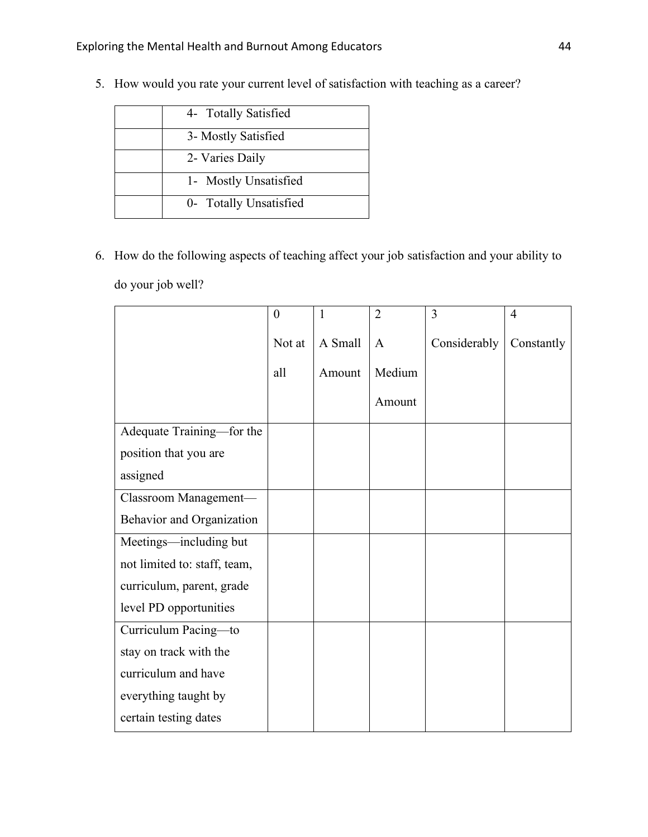| 4- Totally Satisfied   |
|------------------------|
| 3- Mostly Satisfied    |
| 2- Varies Daily        |
| 1- Mostly Unsatisfied  |
| 0- Totally Unsatisfied |

5. How would you rate your current level of satisfaction with teaching as a career?

6. How do the following aspects of teaching affect your job satisfaction and your ability to do your job well?

|                              | $\overline{0}$ | 1       | $\overline{2}$ | 3            | $\overline{4}$ |
|------------------------------|----------------|---------|----------------|--------------|----------------|
|                              | Not at         | A Small | $\mathbf{A}$   | Considerably | Constantly     |
|                              | all            | Amount  | Medium         |              |                |
|                              |                |         | Amount         |              |                |
| Adequate Training-for the    |                |         |                |              |                |
| position that you are        |                |         |                |              |                |
| assigned                     |                |         |                |              |                |
| Classroom Management-        |                |         |                |              |                |
| Behavior and Organization    |                |         |                |              |                |
| Meetings—including but       |                |         |                |              |                |
| not limited to: staff, team, |                |         |                |              |                |
| curriculum, parent, grade    |                |         |                |              |                |
| level PD opportunities       |                |         |                |              |                |
| Curriculum Pacing-to         |                |         |                |              |                |
| stay on track with the       |                |         |                |              |                |
| curriculum and have          |                |         |                |              |                |
| everything taught by         |                |         |                |              |                |
| certain testing dates        |                |         |                |              |                |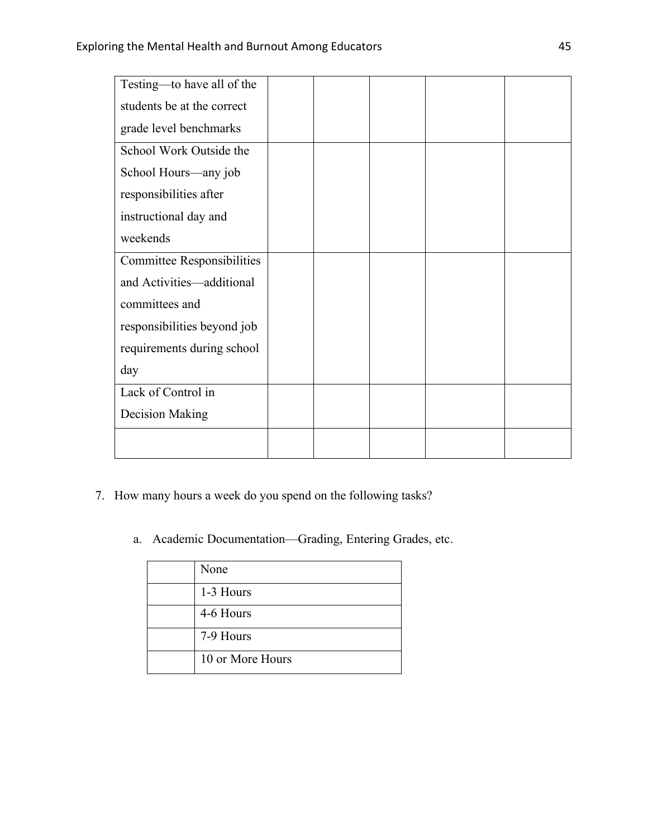| Testing—to have all of the        |  |  |  |
|-----------------------------------|--|--|--|
| students be at the correct        |  |  |  |
| grade level benchmarks            |  |  |  |
| School Work Outside the           |  |  |  |
| School Hours—any job              |  |  |  |
| responsibilities after            |  |  |  |
| instructional day and             |  |  |  |
| weekends                          |  |  |  |
| <b>Committee Responsibilities</b> |  |  |  |
| and Activities—additional         |  |  |  |
| committees and                    |  |  |  |
| responsibilities beyond job       |  |  |  |
| requirements during school        |  |  |  |
| day                               |  |  |  |
| Lack of Control in                |  |  |  |
| <b>Decision Making</b>            |  |  |  |
|                                   |  |  |  |

- 7. How many hours a week do you spend on the following tasks?
	- a. Academic Documentation—Grading, Entering Grades, etc.

| None             |
|------------------|
| 1-3 Hours        |
| 4-6 Hours        |
| 7-9 Hours        |
| 10 or More Hours |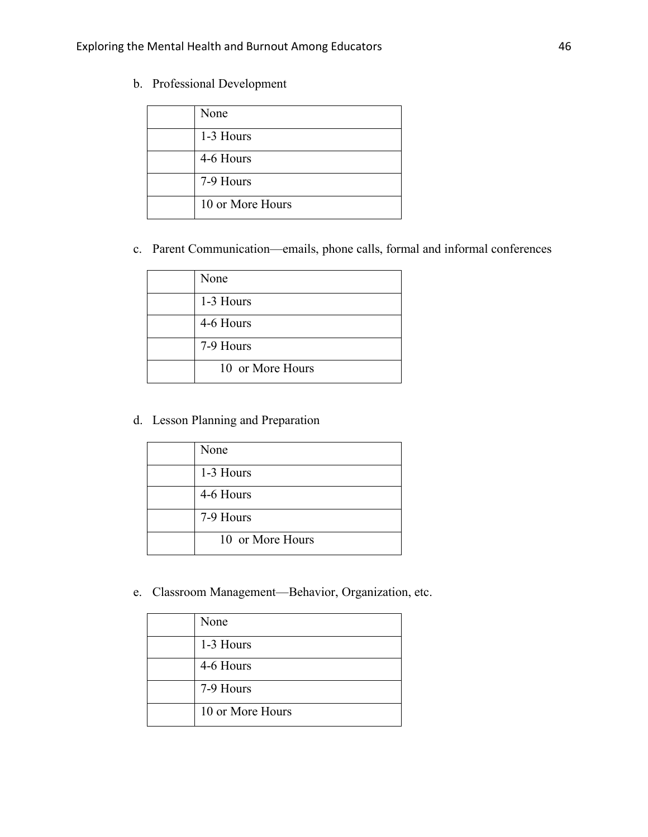b. Professional Development

| None             |
|------------------|
| 1-3 Hours        |
| 4-6 Hours        |
| 7-9 Hours        |
| 10 or More Hours |

c. Parent Communication—emails, phone calls, formal and informal conferences

| None             |
|------------------|
| 1-3 Hours        |
| 4-6 Hours        |
| 7-9 Hours        |
| 10 or More Hours |

d. Lesson Planning and Preparation

| None             |
|------------------|
| 1-3 Hours        |
| 4-6 Hours        |
| 7-9 Hours        |
| 10 or More Hours |

e. Classroom Management—Behavior, Organization, etc.

| None             |
|------------------|
| 1-3 Hours        |
| 4-6 Hours        |
| 7-9 Hours        |
| 10 or More Hours |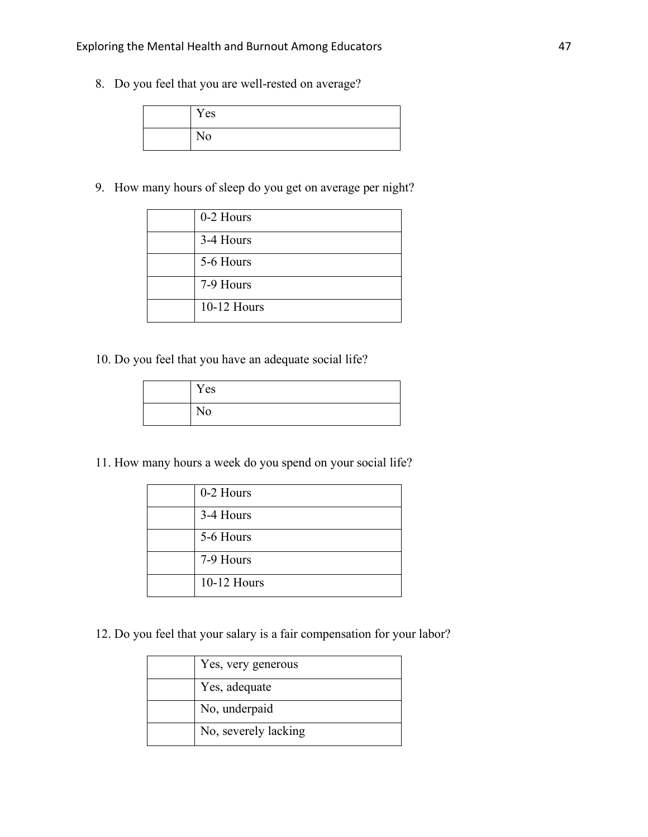8. Do you feel that you are well-rested on average?

| Yes |
|-----|
| No  |

9. How many hours of sleep do you get on average per night?

| 0-2 Hours   |
|-------------|
| 3-4 Hours   |
| 5-6 Hours   |
| 7-9 Hours   |
| 10-12 Hours |

10. Do you feel that you have an adequate social life?

| Yes |
|-----|
| No  |

11. How many hours a week do you spend on your social life?

| 0-2 Hours   |
|-------------|
| 3-4 Hours   |
| 5-6 Hours   |
| 7-9 Hours   |
| 10-12 Hours |

12. Do you feel that your salary is a fair compensation for your labor?

| Yes, very generous   |
|----------------------|
| Yes, adequate        |
| No, underpaid        |
| No, severely lacking |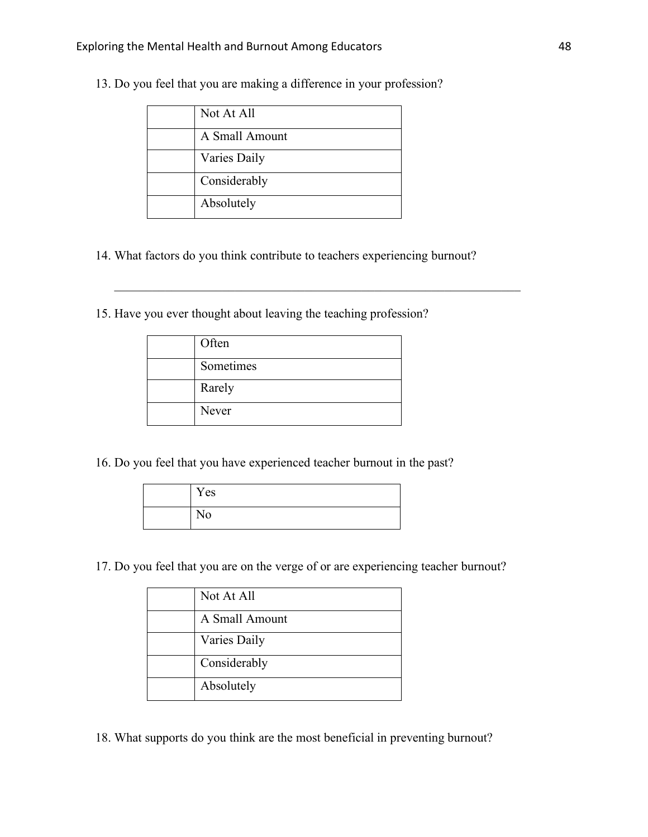| Not At All     |
|----------------|
| A Small Amount |
| Varies Daily   |
| Considerably   |
| Absolutely     |

13. Do you feel that you are making a difference in your profession?

14. What factors do you think contribute to teachers experiencing burnout?

15. Have you ever thought about leaving the teaching profession?

|  | Often     |
|--|-----------|
|  | Sometimes |
|  | Rarely    |
|  | Never     |

16. Do you feel that you have experienced teacher burnout in the past?

| Yes |
|-----|
| No  |

17. Do you feel that you are on the verge of or are experiencing teacher burnout?

| Not At All     |
|----------------|
| A Small Amount |
| Varies Daily   |
| Considerably   |
| Absolutely     |

18. What supports do you think are the most beneficial in preventing burnout?